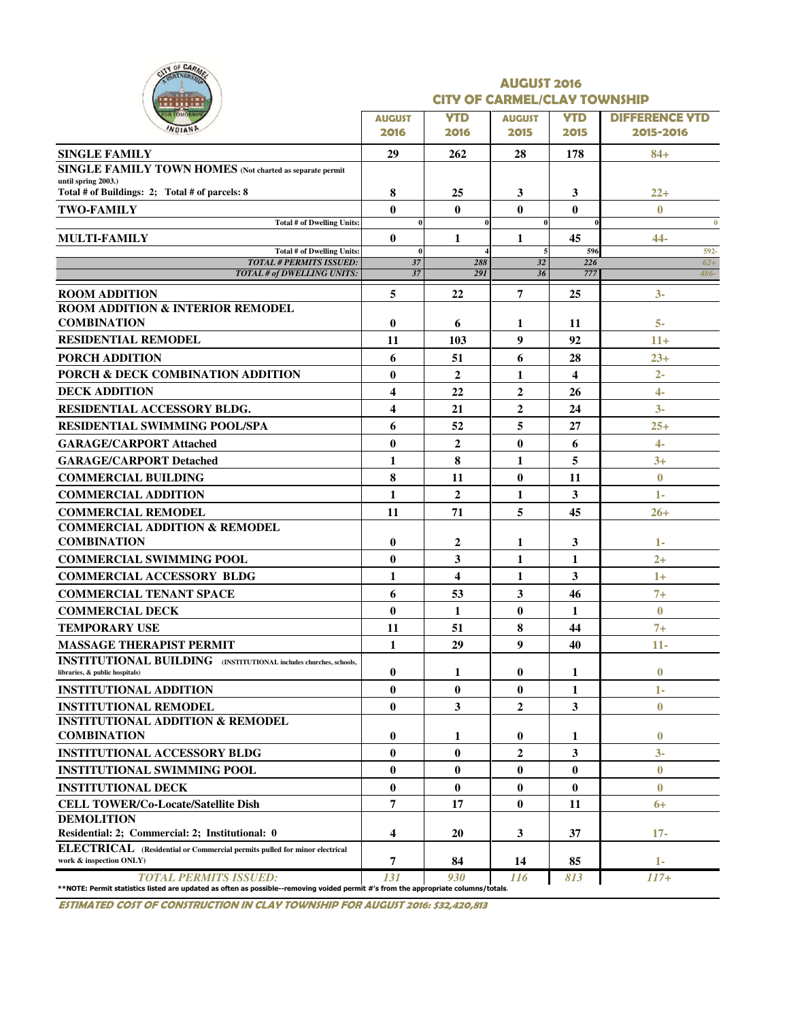| CITY OF CARM<br>RTNERSA                                                                                                                                     | <b>AUGUST 2016</b><br><b>CITY OF CARMEL/CLAY TOWNSHIP</b> |                    |                       |                         |                                    |  |  |  |  |  |
|-------------------------------------------------------------------------------------------------------------------------------------------------------------|-----------------------------------------------------------|--------------------|-----------------------|-------------------------|------------------------------------|--|--|--|--|--|
|                                                                                                                                                             | <b>AUGUST</b><br>2016                                     | <b>YTD</b><br>2016 | <b>AUGUST</b><br>2015 | <b>YTD</b><br>2015      | <b>DIFFERENCE YTD</b><br>2015-2016 |  |  |  |  |  |
| <b>SINGLE FAMILY</b>                                                                                                                                        | 29                                                        | 262                | 28                    | 178                     | $84+$                              |  |  |  |  |  |
| SINGLE FAMILY TOWN HOMES (Not charted as separate permit                                                                                                    |                                                           |                    |                       |                         |                                    |  |  |  |  |  |
| until spring 2003.)<br>Total # of Buildings: 2; Total # of parcels: 8                                                                                       | 8                                                         | 25                 | 3                     | 3                       | $22+$                              |  |  |  |  |  |
| <b>TWO-FAMILY</b>                                                                                                                                           | $\bf{0}$                                                  | 0                  | $\mathbf{0}$          | $\bf{0}$                | $\bf{0}$                           |  |  |  |  |  |
| <b>Total # of Dwelling Units:</b>                                                                                                                           |                                                           |                    | $\bf{0}$              |                         | $\bf{0}$                           |  |  |  |  |  |
| <b>MULTI-FAMILY</b>                                                                                                                                         | $\bf{0}$                                                  | 1                  | 1                     | 45                      | 44-                                |  |  |  |  |  |
| Total # of Dwelling Units:                                                                                                                                  | $\mathbf{0}$                                              |                    | 5                     | 596                     | 592-                               |  |  |  |  |  |
| <b>TOTAL # PERMITS ISSUED:</b><br>TOTAL # of DWELLING UNITS:                                                                                                | 37<br>37                                                  | 288<br>291         | 32<br>36              | 226<br>777              | $62+$<br>$486 -$                   |  |  |  |  |  |
|                                                                                                                                                             |                                                           |                    |                       |                         |                                    |  |  |  |  |  |
| <b>ROOM ADDITION</b><br>ROOM ADDITION & INTERIOR REMODEL<br><b>COMBINATION</b>                                                                              | 5<br>$\bf{0}$                                             | 22<br>6            | 7<br>1                | 25<br>11                | $3-$<br>5-                         |  |  |  |  |  |
| <b>RESIDENTIAL REMODEL</b>                                                                                                                                  | 11                                                        | 103                | 9                     | 92                      | $11+$                              |  |  |  |  |  |
| <b>PORCH ADDITION</b>                                                                                                                                       | 6                                                         | 51                 | 6                     | 28                      | $23+$                              |  |  |  |  |  |
| <b>PORCH &amp; DECK COMBINATION ADDITION</b>                                                                                                                | $\bf{0}$                                                  | $\overline{2}$     | 1                     | $\overline{\mathbf{4}}$ | $2 -$                              |  |  |  |  |  |
| <b>DECK ADDITION</b>                                                                                                                                        | 4                                                         | 22                 | $\overline{2}$        | 26                      | 4-                                 |  |  |  |  |  |
|                                                                                                                                                             | 4                                                         |                    |                       |                         |                                    |  |  |  |  |  |
| RESIDENTIAL ACCESSORY BLDG.                                                                                                                                 |                                                           | 21                 | $\boldsymbol{2}$      | 24                      | $3-$                               |  |  |  |  |  |
| <b>RESIDENTIAL SWIMMING POOL/SPA</b>                                                                                                                        | 6                                                         | 52                 | 5                     | 27                      | $25+$                              |  |  |  |  |  |
| <b>GARAGE/CARPORT Attached</b>                                                                                                                              | $\bf{0}$                                                  | $\overline{2}$     | $\bf{0}$              | 6                       | $4-$                               |  |  |  |  |  |
| <b>GARAGE/CARPORT Detached</b>                                                                                                                              | 1                                                         | 8                  | 1                     | 5                       | $3+$                               |  |  |  |  |  |
| <b>COMMERCIAL BUILDING</b>                                                                                                                                  | 8                                                         | 11                 | $\bf{0}$              | 11                      | $\bf{0}$                           |  |  |  |  |  |
| <b>COMMERCIAL ADDITION</b>                                                                                                                                  | $\mathbf{1}$                                              | $\overline{2}$     | 1                     | 3                       | $1-$                               |  |  |  |  |  |
| <b>COMMERCIAL REMODEL</b>                                                                                                                                   | 11                                                        | 71                 | 5                     | 45                      | $26+$                              |  |  |  |  |  |
| <b>COMMERCIAL ADDITION &amp; REMODEL</b><br><b>COMBINATION</b>                                                                                              | $\bf{0}$                                                  | 2                  | 1                     | 3                       | 1-                                 |  |  |  |  |  |
| <b>COMMERCIAL SWIMMING POOL</b>                                                                                                                             | $\bf{0}$                                                  | 3                  | 1                     | 1                       | $2+$                               |  |  |  |  |  |
| <b>COMMERCIAL ACCESSORY BLDG</b>                                                                                                                            | 1                                                         | 4                  | $\mathbf{1}$          | 3                       | $1+$                               |  |  |  |  |  |
| <b>COMMERCIAL TENANT SPACE</b>                                                                                                                              | 6                                                         | 53                 | 3                     | 46                      | $7+$                               |  |  |  |  |  |
| <b>COMMERCIAL DECK</b>                                                                                                                                      | $\bf{0}$                                                  | 1                  | $\bf{0}$              | 1                       | $\bf{0}$                           |  |  |  |  |  |
| <b>TEMPORARY USE</b>                                                                                                                                        | 11                                                        | 51                 | 8                     | 44                      | $7+$                               |  |  |  |  |  |
| <b>MASSAGE THERAPIST PERMIT</b>                                                                                                                             | 1                                                         | 29                 | 9                     | 40                      | 11-                                |  |  |  |  |  |
| <b>INSTITUTIONAL BUILDING</b> (INSTITUTIONAL includes churches, schools,<br>libraries, & public hospitals)                                                  | 0                                                         | 1                  | $\bf{0}$              | 1                       | $\bf{0}$                           |  |  |  |  |  |
| <b>INSTITUTIONAL ADDITION</b>                                                                                                                               | $\bf{0}$                                                  | $\bf{0}$           | $\bf{0}$              | 1                       | 1-                                 |  |  |  |  |  |
| <b>INSTITUTIONAL REMODEL</b>                                                                                                                                | $\bf{0}$                                                  | 3                  | $\mathbf{2}$          | 3                       | $\bf{0}$                           |  |  |  |  |  |
| <b>INSTITUTIONAL ADDITION &amp; REMODEL</b><br><b>COMBINATION</b>                                                                                           | 0                                                         | 1                  | $\bf{0}$              | 1                       | $\bf{0}$                           |  |  |  |  |  |
| <b>INSTITUTIONAL ACCESSORY BLDG</b>                                                                                                                         | $\bf{0}$                                                  | 0                  | $\boldsymbol{2}$      | 3                       | $3-$                               |  |  |  |  |  |
| <b>INSTITUTIONAL SWIMMING POOL</b>                                                                                                                          | $\bf{0}$                                                  | $\bf{0}$           | $\bf{0}$              | $\bf{0}$                | $\bf{0}$                           |  |  |  |  |  |
| <b>INSTITUTIONAL DECK</b>                                                                                                                                   | $\bf{0}$                                                  | $\bf{0}$           | $\bf{0}$              | $\bf{0}$                | $\bf{0}$                           |  |  |  |  |  |
| <b>CELL TOWER/Co-Locate/Satellite Dish</b>                                                                                                                  | 7                                                         | 17                 | $\bf{0}$              | 11                      | $6+$                               |  |  |  |  |  |
| <b>DEMOLITION</b>                                                                                                                                           |                                                           |                    |                       |                         |                                    |  |  |  |  |  |
| Residential: 2; Commercial: 2; Institutional: 0<br>ELECTRICAL (Residential or Commercial permits pulled for minor electrical                                | 4                                                         | 20                 | 3                     | 37                      | $17-$                              |  |  |  |  |  |
| work & inspection ONLY)                                                                                                                                     | 7                                                         | 84                 | 14                    | 85                      | $1-$                               |  |  |  |  |  |
| TOTAL PERMITS ISSUED:<br>**NOTE: Permit statistics listed are updated as often as possible--removing voided permit #'s from the appropriate columns/totals. | 131                                                       | 930                | 116                   | 813                     | $117+$                             |  |  |  |  |  |

ESTIMATED COST OF CONSTRUCTION IN CLAY TOWNSHIP FOR AUGUST 2016: \$32,420,813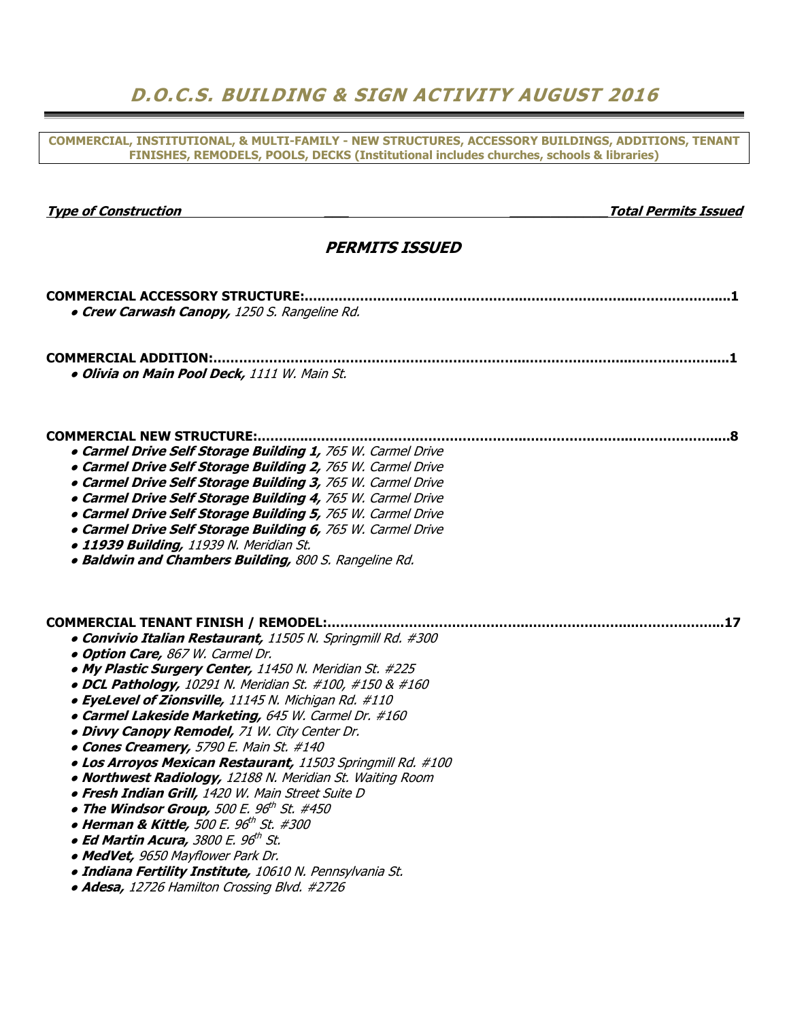## D.O.C.S. BUILDING & SIGN ACTIVITY AUGUST 2016

COMMERCIAL, INSTITUTIONAL, & MULTI-FAMILY - NEW STRUCTURES, ACCESSORY BUILDINGS, ADDITIONS, TENANT FINISHES, REMODELS, POOLS, DECKS (Institutional includes churches, schools & libraries)

| <b>Type of Construction</b>                                                                                                                                                                                                                                                                                                                                                                                                                                                                                                                                                                                                                                                                                                                                                                                                                                                                                                                                  | <b>Total Permits Issued</b> |  |  |  |  |  |  |  |  |  |
|--------------------------------------------------------------------------------------------------------------------------------------------------------------------------------------------------------------------------------------------------------------------------------------------------------------------------------------------------------------------------------------------------------------------------------------------------------------------------------------------------------------------------------------------------------------------------------------------------------------------------------------------------------------------------------------------------------------------------------------------------------------------------------------------------------------------------------------------------------------------------------------------------------------------------------------------------------------|-----------------------------|--|--|--|--|--|--|--|--|--|
| <b>PERMITS ISSUED</b>                                                                                                                                                                                                                                                                                                                                                                                                                                                                                                                                                                                                                                                                                                                                                                                                                                                                                                                                        |                             |  |  |  |  |  |  |  |  |  |
| <b>COMMERCIAL ACCESSORY STRUCTURE:</b><br>• Crew Carwash Canopy, 1250 S. Rangeline Rd.                                                                                                                                                                                                                                                                                                                                                                                                                                                                                                                                                                                                                                                                                                                                                                                                                                                                       |                             |  |  |  |  |  |  |  |  |  |
| <b>COMMERCIAL ADDITION:.</b><br>· Olivia on Main Pool Deck, 1111 W. Main St.                                                                                                                                                                                                                                                                                                                                                                                                                                                                                                                                                                                                                                                                                                                                                                                                                                                                                 |                             |  |  |  |  |  |  |  |  |  |
| <b>COMMERCIAL NEW STRUCTURE:</b><br><b>. Carmel Drive Self Storage Building 1, 765 W. Carmel Drive</b><br><b>• Carmel Drive Self Storage Building 2, 765 W. Carmel Drive</b><br><b>• Carmel Drive Self Storage Building 3, 765 W. Carmel Drive</b><br><b>. Carmel Drive Self Storage Building 4, 765 W. Carmel Drive</b><br><b>• Carmel Drive Self Storage Building 5, 765 W. Carmel Drive</b><br><b>• Carmel Drive Self Storage Building 6, 765 W. Carmel Drive</b><br>· 11939 Building, 11939 N. Meridian St.<br>. Baldwin and Chambers Building, 800 S. Rangeline Rd.                                                                                                                                                                                                                                                                                                                                                                                     |                             |  |  |  |  |  |  |  |  |  |
| COMMERCIAL TENANT FINISH / REMODEL:<br>• Convivio Italian Restaurant, 11505 N. Springmill Rd. #300<br>· Option Care, 867 W. Carmel Dr.<br>. My Plastic Surgery Center, 11450 N. Meridian St. #225<br>• DCL Pathology, 10291 N. Meridian St. #100, #150 & #160<br>• EyeLevel of Zionsville, 11145 N. Michigan Rd. #110<br>• Carmel Lakeside Marketing, 645 W. Carmel Dr. #160<br>· Divvy Canopy Remodel, 71 W. City Center Dr.<br>• Cones Creamery, 5790 E. Main St. #140<br>· Los Arroyos Mexican Restaurant, 11503 Springmill Rd. #100<br>. Northwest Radiology, 12188 N. Meridian St. Waiting Room<br><b>• Fresh Indian Grill,</b> 1420 W. Main Street Suite D<br>• The Windsor Group, 500 E. 96th St. #450<br>• Herman & Kittle, 500 E. 96 <sup>th</sup> St. #300<br>• Ed Martin Acura, 3800 E. 96th St.<br>• MedVet, 9650 Mayflower Park Dr.<br>· Indiana Fertility Institute, 10610 N. Pennsylvania St.<br>• Adesa, 12726 Hamilton Crossing Blvd. #2726 |                             |  |  |  |  |  |  |  |  |  |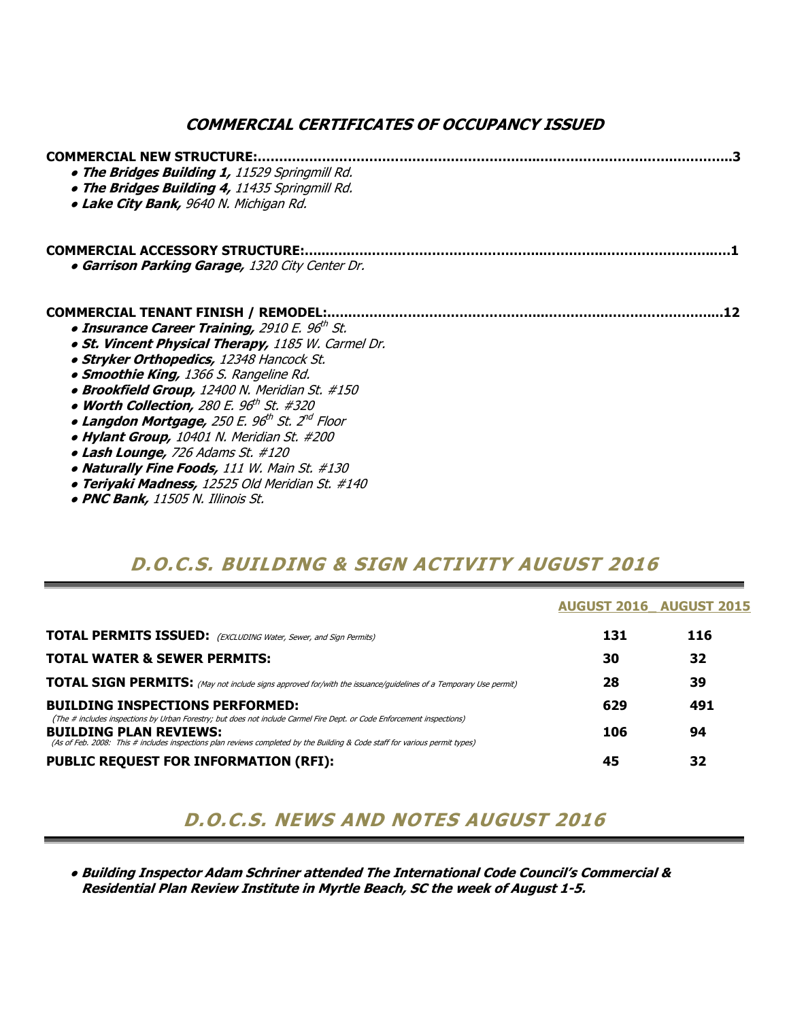### COMMERCIAL CERTIFICATES OF OCCUPANCY ISSUED

| <b>COMMERCIAL NEW STRUCTURE:</b><br>. The Bridges Building 1, 11529 Springmill Rd.<br>• The Bridges Building 4, 11435 Springmill Rd.<br><b>. Lake City Bank, 9640 N. Michigan Rd.</b> |
|---------------------------------------------------------------------------------------------------------------------------------------------------------------------------------------|
| <b>COMMERCIAL ACCESSORY STRUCTURE:</b><br><b>• Garrison Parking Garage, 1320 City Center Dr.</b>                                                                                      |
| <b>COMMERCIAL TENANT FINISH / REMODEL:</b>                                                                                                                                            |
| • Insurance Career Training, 2910 E. 96th St.                                                                                                                                         |
| . St. Vincent Physical Therapy, 1185 W. Carmel Dr.                                                                                                                                    |
| • Stryker Orthopedics, 12348 Hancock St.                                                                                                                                              |
| • Smoothie King, 1366 S. Rangeline Rd.                                                                                                                                                |
| • Brookfield Group, 12400 N. Meridian St. #150                                                                                                                                        |
| • Worth Collection, 280 E. $96^{\text{th}}$ St. #320                                                                                                                                  |
| • Langdon Mortgage, 250 E. 96 <sup>th</sup> St. 2 <sup>nd</sup> Floor                                                                                                                 |
| • Hylant Group, 10401 N. Meridian St. #200                                                                                                                                            |
| • Lash Lounge, 726 Adams St. #120                                                                                                                                                     |
| • Naturally Fine Foods, 111 W. Main St. #130                                                                                                                                          |
| <b>• Teriyaki Madness,</b> 12525 Old Meridian St. #140                                                                                                                                |

● PNC Bank, 11505 N. Illinois St.

### D.O.C.S. BUILDING & SIGN ACTIVITY AUGUST 2016

|                                                                                                                                                                                                                                                                                        |     | <b>AUGUST 2016 AUGUST 2015</b> |
|----------------------------------------------------------------------------------------------------------------------------------------------------------------------------------------------------------------------------------------------------------------------------------------|-----|--------------------------------|
| <b>TOTAL PERMITS ISSUED:</b> (EXCLUDING Water, Sewer, and Sign Permits)                                                                                                                                                                                                                | 131 | 116                            |
| <b>TOTAL WATER &amp; SEWER PERMITS:</b>                                                                                                                                                                                                                                                | 30  | 32                             |
| <b>TOTAL SIGN PERMITS:</b> (May not include signs approved for/with the issuance/guidelines of a Temporary Use permit)                                                                                                                                                                 | 28  | 39                             |
| <b>BUILDING INSPECTIONS PERFORMED:</b>                                                                                                                                                                                                                                                 | 629 | 491                            |
| (The # includes inspections by Urban Forestry; but does not include Carmel Fire Dept. or Code Enforcement inspections)<br><b>BUILDING PLAN REVIEWS:</b><br>(As of Feb. 2008: This # includes inspections plan reviews completed by the Building & Code staff for various permit types) | 106 | 94                             |
| <b>PUBLIC REQUEST FOR INFORMATION (RFI):</b>                                                                                                                                                                                                                                           | 45  | 32                             |

## D.O.C.S. NEWS AND NOTES AUGUST 2016

 ● Building Inspector Adam Schriner attended The International Code Council's Commercial & Residential Plan Review Institute in Myrtle Beach, SC the week of August 1-5.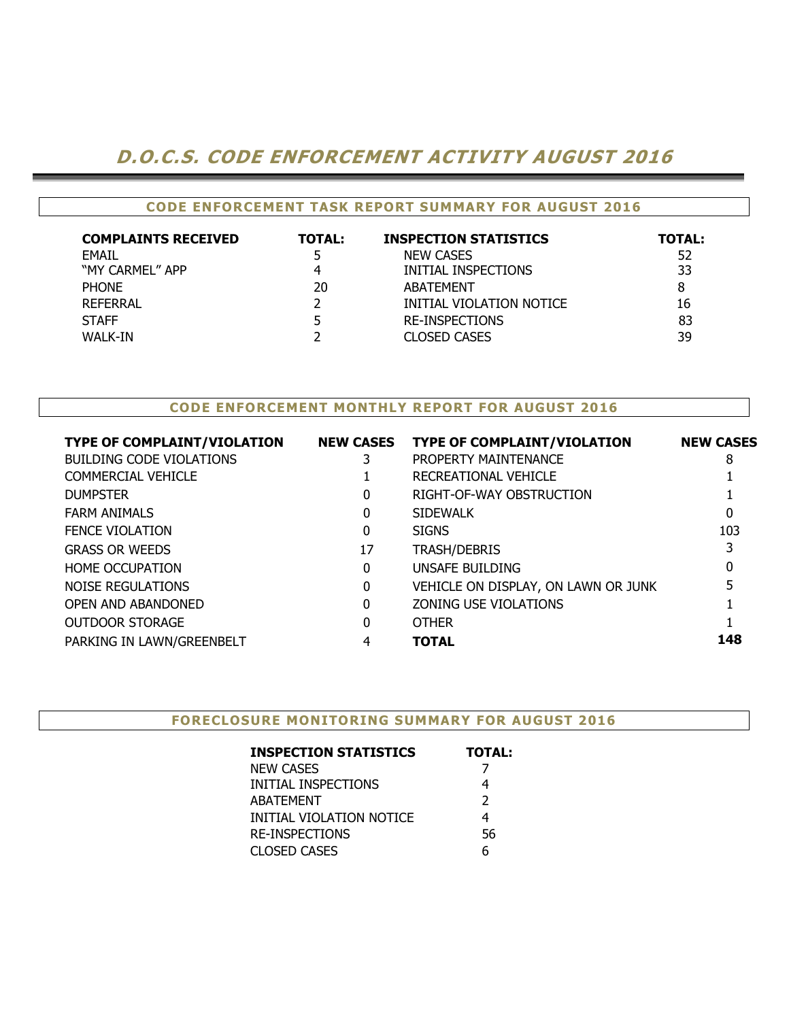### D.O.C.S. CODE ENFORCEMENT ACTIVITY AUGUST 2016

#### CODE ENFORCEMENT TASK REPORT SUMMARY FOR AUGUST 2016

| <b>COMPLAINTS RECEIVED</b> | <b>TOTAL:</b> | <b>INSPECTION STATISTICS</b> | TOTAL: |
|----------------------------|---------------|------------------------------|--------|
| <b>FMAIL</b>               |               | <b>NEW CASES</b>             | 52     |
| "MY CARMEL" APP            |               | INITIAL INSPECTIONS          | 33     |
| <b>PHONE</b>               | 20            | ABATEMENT                    | 8      |
| REFERRAL                   |               | INITIAL VIOLATION NOTICE     | 16     |
| <b>STAFF</b>               |               | <b>RE-INSPECTIONS</b>        | 83     |
| WALK-IN                    |               | <b>CLOSED CASES</b>          | 39     |

### CODE ENFORCEMENT MONTHLY REPORT FOR AUGUST 2016

| <b>TYPE OF COMPLAINT/VIOLATION</b> | <b>NEW CASES</b> | <b>TYPE OF COMPLAINT/VIOLATION</b>  | <b>NEW CASES</b> |
|------------------------------------|------------------|-------------------------------------|------------------|
| <b>BUILDING CODE VIOLATIONS</b>    | 3                | PROPERTY MAINTENANCE                | 8                |
| COMMERCIAL VEHICLE                 |                  | RECREATIONAL VEHICLE                |                  |
| <b>DUMPSTER</b>                    | 0                | RIGHT-OF-WAY OBSTRUCTION            |                  |
| <b>FARM ANIMALS</b>                | 0                | <b>SIDEWALK</b>                     | 0                |
| <b>FENCE VIOLATION</b>             | 0                | <b>SIGNS</b>                        | 103              |
| <b>GRASS OR WEEDS</b>              | 17               | TRASH/DEBRIS                        |                  |
| <b>HOME OCCUPATION</b>             | 0                | UNSAFE BUILDING                     | 0                |
| NOISE REGULATIONS                  | 0                | VEHICLE ON DISPLAY, ON LAWN OR JUNK | 5                |
| <b>OPEN AND ABANDONED</b>          | 0                | ZONING USE VIOLATIONS               |                  |
| <b>OUTDOOR STORAGE</b>             | 0                | <b>OTHER</b>                        |                  |
| PARKING IN LAWN/GREENBELT          | 4                | <b>TOTAL</b>                        | 148              |
|                                    |                  |                                     |                  |

#### FORECLOSURE MONITORING SUMMARY FOR AUGUST 2016

| <b>INSPECTION STATISTICS</b> | <b>TOTAL:</b> |
|------------------------------|---------------|
| <b>NEW CASES</b>             |               |
| INITIAL INSPECTIONS          |               |
| <b>ABATEMENT</b>             | $\mathcal{L}$ |
| INITIAL VIOLATION NOTICE     | 4             |
| <b>RE-INSPECTIONS</b>        | 56            |
| <b>CLOSED CASES</b>          |               |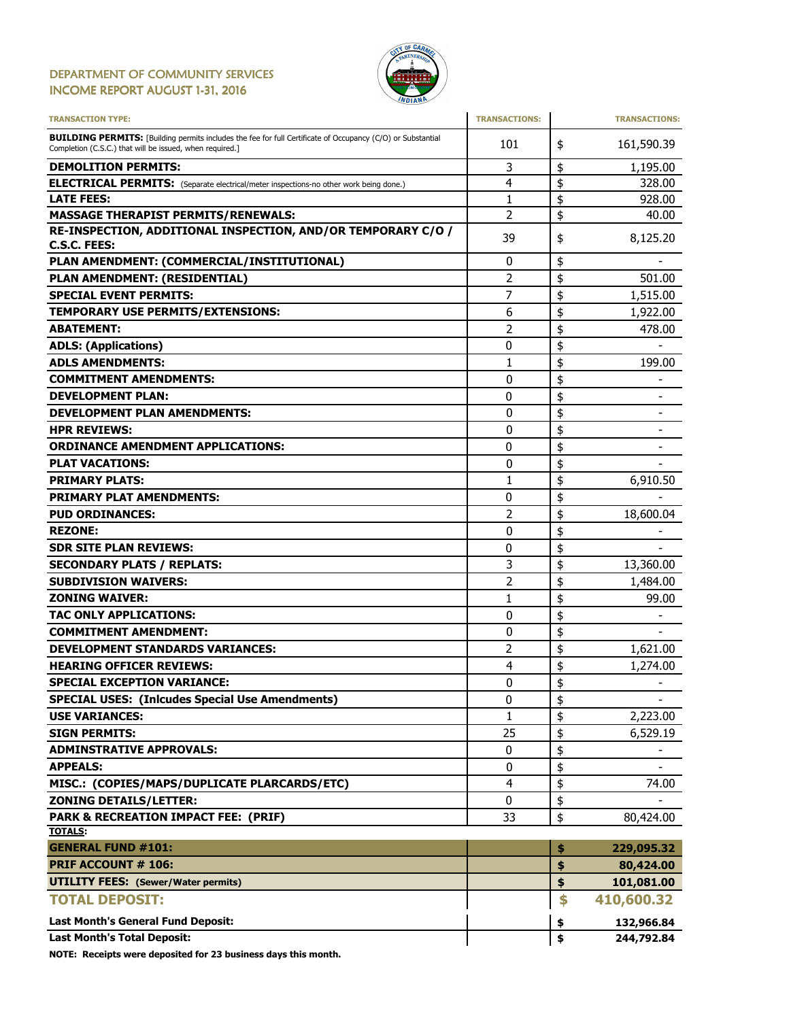#### DEPARTMENT OF COMMUNITY SERVICES INCOME REPORT AUGUST 1-31, 2016



| <b>TRANSACTION TYPE:</b>                                                                                                                                                       | <b>TRANSACTIONS:</b> | <b>TRANSACTIONS:</b>           |
|--------------------------------------------------------------------------------------------------------------------------------------------------------------------------------|----------------------|--------------------------------|
| <b>BUILDING PERMITS:</b> [Building permits includes the fee for full Certificate of Occupancy (C/O) or Substantial<br>Completion (C.S.C.) that will be issued, when required.] | 101                  | \$<br>161,590.39               |
| <b>DEMOLITION PERMITS:</b>                                                                                                                                                     | 3                    | \$<br>1,195.00                 |
| <b>ELECTRICAL PERMITS:</b> (Separate electrical/meter inspections-no other work being done.)                                                                                   | 4                    | \$<br>328.00                   |
| <b>LATE FEES:</b>                                                                                                                                                              | 1                    | \$<br>928.00                   |
| <b>MASSAGE THERAPIST PERMITS/RENEWALS:</b>                                                                                                                                     | 2                    | \$<br>40.00                    |
| RE-INSPECTION, ADDITIONAL INSPECTION, AND/OR TEMPORARY C/O /                                                                                                                   | 39                   | \$<br>8,125.20                 |
| C.S.C. FEES:                                                                                                                                                                   |                      |                                |
| PLAN AMENDMENT: (COMMERCIAL/INSTITUTIONAL)                                                                                                                                     | 0                    | \$                             |
| PLAN AMENDMENT: (RESIDENTIAL)                                                                                                                                                  | $\overline{2}$       | \$<br>501.00                   |
| <b>SPECIAL EVENT PERMITS:</b>                                                                                                                                                  | 7                    | \$<br>1,515.00                 |
| <b>TEMPORARY USE PERMITS/EXTENSIONS:</b>                                                                                                                                       | 6                    | \$<br>1,922.00                 |
| <b>ABATEMENT:</b>                                                                                                                                                              | 2                    | \$<br>478.00                   |
| <b>ADLS: (Applications)</b>                                                                                                                                                    | 0                    | \$                             |
| <b>ADLS AMENDMENTS:</b>                                                                                                                                                        | 1                    | \$<br>199.00                   |
| <b>COMMITMENT AMENDMENTS:</b>                                                                                                                                                  | 0                    | \$                             |
| <b>DEVELOPMENT PLAN:</b>                                                                                                                                                       | 0                    | \$                             |
| <b>DEVELOPMENT PLAN AMENDMENTS:</b>                                                                                                                                            | 0                    | \$<br>$\overline{\phantom{a}}$ |
| <b>HPR REVIEWS:</b>                                                                                                                                                            | 0                    | \$                             |
| <b>ORDINANCE AMENDMENT APPLICATIONS:</b>                                                                                                                                       | 0                    | \$                             |
| <b>PLAT VACATIONS:</b>                                                                                                                                                         | 0                    | \$                             |
| <b>PRIMARY PLATS:</b>                                                                                                                                                          | 1                    | \$<br>6,910.50                 |
| <b>PRIMARY PLAT AMENDMENTS:</b>                                                                                                                                                | 0                    | \$                             |
| <b>PUD ORDINANCES:</b>                                                                                                                                                         | $\overline{2}$       | \$<br>18,600.04                |
| <b>REZONE:</b>                                                                                                                                                                 | 0                    | \$                             |
| <b>SDR SITE PLAN REVIEWS:</b>                                                                                                                                                  | 0                    | \$                             |
| <b>SECONDARY PLATS / REPLATS:</b>                                                                                                                                              | 3                    | \$<br>13,360.00                |
| <b>SUBDIVISION WAIVERS:</b>                                                                                                                                                    | $\overline{c}$       | \$<br>1,484.00                 |
| <b>ZONING WAIVER:</b>                                                                                                                                                          | 1                    | \$<br>99.00                    |
| TAC ONLY APPLICATIONS:                                                                                                                                                         | 0                    | \$                             |
| <b>COMMITMENT AMENDMENT:</b>                                                                                                                                                   | 0                    | \$                             |
| <b>DEVELOPMENT STANDARDS VARIANCES:</b>                                                                                                                                        | 2                    | \$<br>1,621.00                 |
| <b>HEARING OFFICER REVIEWS:</b>                                                                                                                                                | 4                    | \$<br>1,274.00                 |
| <b>SPECIAL EXCEPTION VARIANCE:</b>                                                                                                                                             | 0                    | \$<br>$\overline{\phantom{0}}$ |
| <b>SPECIAL USES: (Inlcudes Special Use Amendments)</b>                                                                                                                         | 0                    | \$<br>$\overline{\phantom{a}}$ |
| <b>USE VARIANCES:</b>                                                                                                                                                          | 1                    | \$<br>2,223.00                 |
| <b>SIGN PERMITS:</b>                                                                                                                                                           | 25                   | \$<br>6,529.19                 |
| <b>ADMINSTRATIVE APPROVALS:</b>                                                                                                                                                | 0                    | \$                             |
| <b>APPEALS:</b>                                                                                                                                                                | 0                    | \$                             |
| MISC.: (COPIES/MAPS/DUPLICATE PLARCARDS/ETC)                                                                                                                                   | 4                    | \$<br>74.00                    |
| <b>ZONING DETAILS/LETTER:</b>                                                                                                                                                  | 0                    | \$                             |
| PARK & RECREATION IMPACT FEE: (PRIF)                                                                                                                                           | 33                   | \$<br>80,424.00                |
| <b>TOTALS:</b>                                                                                                                                                                 |                      |                                |
| <b>GENERAL FUND #101:</b>                                                                                                                                                      |                      | \$<br>229,095.32               |
| <b>PRIF ACCOUNT # 106:</b>                                                                                                                                                     |                      | \$<br>80,424.00                |
| <b>UTILITY FEES: (Sewer/Water permits)</b>                                                                                                                                     |                      | \$<br>101,081.00               |
| <b>TOTAL DEPOSIT:</b>                                                                                                                                                          |                      | \$<br>410,600.32               |
| Last Month's General Fund Deposit:                                                                                                                                             |                      | \$<br>132,966.84               |
| <b>Last Month's Total Deposit:</b>                                                                                                                                             |                      | \$<br>244,792.84               |

NOTE: Receipts were deposited for 23 business days this month.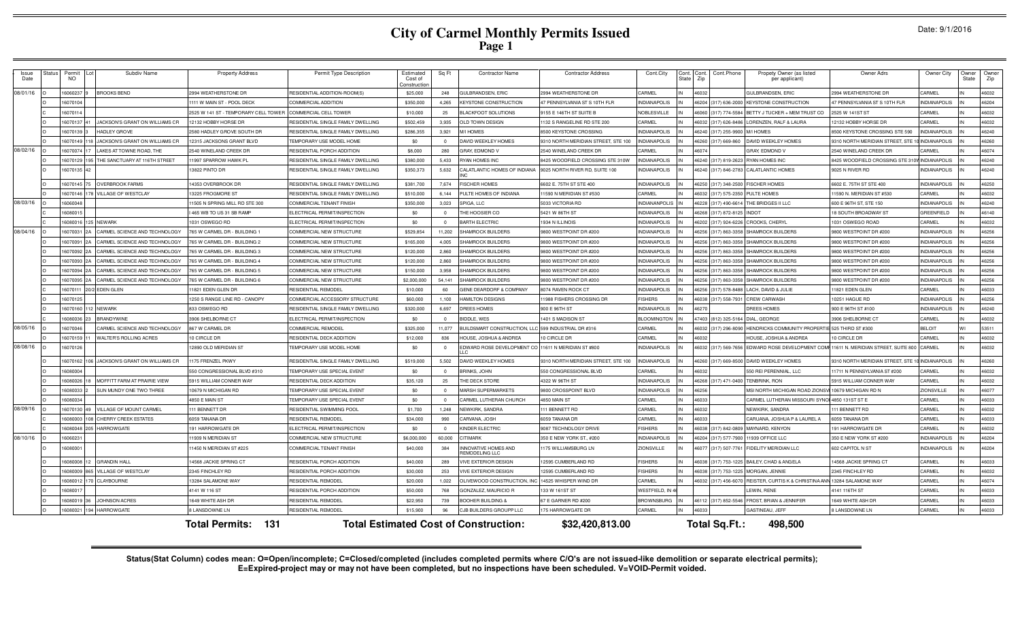| Issue<br>Date | Status | Permit<br><b>NO</b> | Subdiv Name                    | <b>Property Address</b>              | Permit Type Description            | Estimated<br>Cost of<br>onstructio | Sq Ft          | <b>Contractor Name</b>                       | <b>Contractor Address</b>           | Cont.City             | ਜੈਸ਼ੀ ਵ | Cont.Phone<br>Cont<br>Zip              | Propety Owner (as listed<br>per applicant) | Owner Adrs                                    | Owner City          | Owner<br>State | Owne<br>Zip |
|---------------|--------|---------------------|--------------------------------|--------------------------------------|------------------------------------|------------------------------------|----------------|----------------------------------------------|-------------------------------------|-----------------------|---------|----------------------------------------|--------------------------------------------|-----------------------------------------------|---------------------|----------------|-------------|
| 08/01/16      |        | 16060237            | <b>BROOKS BEND</b>             | 2994 WEATHERSTONE DR                 | RESIDENTIAL ADDITION-ROOM(S)       | \$25,000                           | 248            | <b>JULBRANDSEN, ERIC</b>                     | 2994 WEATHERSTONE DR                | CARMEL                |         | 46032                                  | GULBRANDSEN, ERIC                          | 2994 WEATHERSTONE DR                          | CARMEL              |                | 46032       |
|               |        | 16070104            |                                | 1111 W MAIN ST - POOL DECK           | COMMERCIAL ADDITION                | \$350,000                          | 4,265          | KEYSTONE CONSTRUCTION                        | 47 PENNSYLVANIA ST S 10TH FLR       | <b>INDIANAPOLIS</b>   |         |                                        | 6204 (317) 636-2000 KEYSTONE CONSTRUCTION  | 47 PENNSYLVANIA ST S 10TH FLR                 | <b>INDIANAPOLIS</b> |                | 46204       |
|               |        | 16070114            |                                | 2525 W 141 ST - TEMPORARY CELL TOWER | <b>COMMERCIAL CELL TOWER</b>       | \$10,000                           | 25             | <b>BLACKFOOT SOLUTIONS</b>                   | 9155 E 146TH ST SUITE B             | NOBLESVILLE           |         | 6060<br>(317) 774-5584                 | BETTY J TUCKER + MEM TRUST CO              | 2525 W 141ST ST                               | CARMEL              |                | 46032       |
|               |        | 16070137            | JACKSON'S GRANT ON WILLIAMS CR | 12132 HOBBY HORSE DF                 | RESIDENTIAL SINGLE FAMILY DWELLING | \$502,459                          | 3.935          | OLD TOWN DESIGN                              | 132 S RANGELINE RD STE 200          | CARMEL                |         | 16032                                  | (317) 626-8486 LORENZEN, RALF & LAURA      | 12132 HOBBY HORSE DR                          | CARMEI              |                | 46032       |
|               |        | 16070139            | <b>HADLEY GROVE</b>            | 2580 HADLEY GROVE SOUTH DR           | RESIDENTIAL SINGLE FAMILY DWELLING | \$286,355                          | 3.921          | <b>M/I HOMES</b>                             | 8500 KEYSTONE CROSSING              | <b>INDIANAPOLIS</b>   |         | 16240<br>(317) 255-9900 M/I HOMES      |                                            | 8500 KEYSTONE CROSSING STE 590                | NDIANAPOLIS         |                | 46240       |
|               |        | 16070149            | JACKSON'S GRANT ON WILLIAMS CR | 12315 JACKSONS GRANT BLVD            | EMPORARY USE MODEL HOME            | \$0                                | $\Omega$       | AVID WEEKLEY HOMES                           | 9310 NORTH MERIDIAN STREET, STE 100 | <b>NDIANAPOLIS</b>    |         | 6260<br>317) 669-860                   | DAVID WEEKLEY HOMES                        | 9310 NORTH MERIDIAN STREET, STE 1             | <b>INDIANAPOLIS</b> |                | 46260       |
| 08/02/16      |        | 6070074             | AKES AT TOWNE ROAD, THE        | 2540 WINELAND CREEK DR               | RESIDENTIAL PORCH ADDITION         | \$8,000                            | 280            | GRAY, EDMOND V                               | 540 WINELAND CREEK DR               | <b>ARMEI</b>          |         | 607                                    | GRAY, EDMOND \                             | 2540 WINELAND CREEK DF                        | <b>ARMEI</b>        |                | 46074       |
|               |        | 16070129            | THE SANCTUARY AT 116TH STREET  | 11997 SPARROW HAWK PL                | RESIDENTIAL SINGLE FAMILY DWELLING | \$380,000                          | 5,433          | RYAN HOMES INC                               | 8425 WOODFIELD CROSSING STE 310W    | <b>INDIANAPOLIS</b>   |         | 16240                                  | (317) 819-2623 RYAN HOMES INC              | 8425 WOODFIELD CROSSING STE 310V INDIANAPOLIS |                     |                | 46240       |
|               |        | 16070135 4          |                                | 3822 PINTO DR                        | RESIDENTIAL SINGLE FAMILY DWELLING | \$350,373                          | 5,632          | ALATLANTIC HOMES OF INDIAN                   | 9025 NORTH RIVER RD, SUITE 100      | NDIANAPOLIS           |         | 6240<br>(317) 846-2783                 | <b>CALATLANTIC HOMES</b>                   | 9025 N RIVER RD                               | NDIANAPOLIS         |                | 46240       |
|               |        | 16070145 75         | <b>OVERBROOK FARMS</b>         | 14353 OVERBROOK DR                   | RESIDENTIAL SINGLE FAMILY DWELLING | \$381,700                          | 7,674          | <b>ISCHER HOMES</b>                          | 6602 E. 75TH ST STE 400             | <b>INDIANAPOLIS</b>   |         | 6250 (317) 348-2500 FISCHER HOMES      |                                            | 6602 E. 75TH ST STE 400                       | <b>INDIANAPOLIS</b> |                | 46250       |
|               |        | 16070146            | VILLAGE OF WESTCLAY            | 13225 FROGMORE ST                    | RESIDENTIAL SINGLE FAMILY DWELLING | \$510,000                          | 6,144          | PULTE HOMES OF INDIANA                       | 1590 N MERIDIAN ST #530             | CARMEL                |         | 16032                                  | (317) 575-2350 PULTE HOMES                 | 1590 N. MERIDIAN ST #530                      | CARMEL              |                | 46032       |
| 08/03/16      |        | 16060048            |                                | 11505 N SPRING MILL RD STE 300       | COMMERCIAL TENANT FINISH           | \$350,000                          | 3,023          | SPIGA, LLC                                   | 5033 VICTORIA RD                    | INDIANANPOLIS         |         | 6228 (317) 490-6614 THE BRIDGES II LLC |                                            | 600 E 96TH ST, STE 150                        | <b>INDIANAPOLIS</b> |                | 46240       |
|               |        | 1608001             |                                | 465 WB TO US 31 SB RAMP              | ELECTRICAL PERMIT/INSPECTION       | \$0                                | $\Omega$       | THE HOOSIER CO                               | 5421 W 86TH ST                      | <b>INDIANAPOLIS</b>   |         | (317) 872-8125 INDOT<br>16268          |                                            | <b>8 SOUTH BROADWAY ST</b>                    | GREENFIELD          |                | 46140       |
|               |        | 16080016            | 125 NEWARK                     | 1031 OSWEGO RD                       | ELECTRICAL PERMIT/INSPECTION       | \$0                                | $\Omega$       | <b>BARTH ELECTRIC</b>                        | 1934 N ILLINOIS                     | <b>INDIANAPOLIS</b>   |         | 6202 (317) 924-6226 CROOKS, CHERYL     |                                            | 1031 OSWEGO ROAD                              | CARMEL              |                | 46032       |
| 08/04/16      |        | 1607003             | CARMEL SCIENCE AND TECHNOLOGY  | 765 W CARMEL DR - BUILDING           | COMMERCIAL NEW STRUCTURE           | \$529,854                          | 11,202         | HAMROCK BUILDERS                             | 800 WESTPOINT DR #200               | <b>NDIANAPOLIS</b>    |         | (317) 863-3358<br>6256                 | SHAMROCK BUILDERS                          | 800 WESTPOINT DR #200                         | NDIANAPOLIS         |                | 46256       |
|               |        | 1607009             | CARMEL SCIENCE AND TECHNOLOGY  | 765 W CARMEL DR - BUILDING 2         | <b>COMMERCIAL NEW STRUCTURE</b>    | \$165,000                          | 4,005          | <b>SHAMROCK BUILDERS</b>                     | 9800 WESTPOINT DR #200              | <b>INDIANAPOLIS</b>   |         | 16256                                  | (317) 863-3358 SHAMROCK BUILDERS           | 9800 WESTPOINT DR #200                        | NDIANAPOLIS         |                | 16256       |
|               |        | 16070092            | CARMEL SCIENCE AND TECHNOLOGY  | 765 W CARMEL DR - BUILDING 3         | COMMERCIAL NEW STRUCTURE           | \$120,000                          | 2,860          | <b>HAMROCK BUILDERS</b>                      | 9800 WESTPOINT DR #200              | <b>INDIANAPOLIS</b>   |         | 6256                                   | (317) 863-3358 SHAMROCK BUILDERS           | 9800 WESTPOINT DR #200                        | NDIANAPOLIS         |                | 46256       |
|               |        | 1607009             | CARMEL SCIENCE AND TECHNOLOGY  | 765 W CARMEL DR - BUILDING 4         | COMMERCIAL NEW STRUCTURE           | \$120,000                          | 2,860          | <b>HAMROCK BUILDERS</b>                      | 9800 WESTPOINT DR #200              | <b>INDIANAPOLIS</b>   |         | 6256                                   | (317) 863-3358 SHAMROCK BUILDERS           | 9800 WESTPOINT DR #200                        | <b>NDIANAPOLIS</b>  |                | 46256       |
|               |        | 16070094            | CARMEL SCIENCE AND TECHNOLOGY  | '65 W CARMEL DR - BUILDING !         | <b>COMMERCIAL NEW STRUCTURE</b>    | \$150,000                          | 3,958          | HAMROCK BUILDERS                             | 800 WESTPOINT DR #200               | NDIANAPOLIS           |         | 6256<br>317) 863-3358                  | SHAMROCK BUILDERS                          | 800 WESTPOINT DR #200                         | NDIANAPOLIS         |                | 46256       |
|               |        | 16070095            | CARMEL SCIENCE AND TECHNOLOGY  | 65 W CARMEL DR - BUILDING            | COMMERCIAL NEW STRUCTURE           | \$2,000,000                        | 54.141         | HAMROCK BUILDERS                             | 800 WESTPOINT DR #200               | NDIANAPOLIS           |         | 6256<br>317) 863-335                   | SHAMROCK BUILDER                           | 9800 WESTPOINT DR #200                        | NDIANAPOLIS         |                | 16256       |
|               |        | 16070111            | /2 EDEN GLEN                   | 1821 EDEN GLEN DR                    | <b>ESIDENTIAL REMODEL</b>          | \$10,000                           | 60             | <b>ENE DEARDORF &amp; COMPANY</b>            | 8074 RAVEN ROCK CT                  | <b>NDIANAPOLIS</b>    |         | 6256<br>(317) 578-8488                 | LACH. DAVID & JULIE                        | 1821 EDEN GLEN                                | CARMEL              |                | 46033       |
|               |        | 6070125             |                                | 1250 S RANGE LINE RD - CANOPY        | COMMERCIAL ACCESSORY STRUCTURE     | \$60,000                           | 1100           | <b>JAMILTON DESIGNS</b>                      | 1988 FISHERS CROSSING DR            | <b>ISHERS</b>         |         | 880a<br>$(317)$ 558-7931               | CREW CARWASH                               | 0251 HAGUE RD                                 | NDIANAPOLIS         |                | 46256       |
|               |        | 16070160            | <b>NEWARK</b>                  | 833 OSWEGO RD                        | RESIDENTIAL SINGLE FAMILY DWELLING | \$320,000                          | 6,697          | REES HOMES                                   | 900 E 96TH ST                       | NDIANAPOLIS           |         | 6270                                   | <b>DREES HOMES</b>                         | 900 E 96TH ST #100                            | NDIANAPOLIS         |                | 46240       |
|               |        | 16080036            | <b>BRANDYWINE</b>              | 3906 SHELBORNE CT                    | ELECTRICAL PERMIT/INSPECTION       | \$0                                | $\Omega$       | <b>BIDDLE, WES</b>                           | 1401 S MADISON ST                   | <b>BLOOMINGTON</b>    |         | 7403 (812) 325-5164 DIAL, GEORGE       |                                            | 3906 SHELBORNE CT                             | CARMEL              |                | 46032       |
| 08/05/16      |        | 16070046            | CARMEL SCIENCE AND TECHNOLOGY  | 867 W CARMEL DR                      | <b>COMMERCIAL REMODEL</b>          | \$325,000                          | 11,077         | <b>BUILDSMART CONSTRUCTION, L</b>            | 599 INDUSTRIAL DR #316              | CARMEL                |         | 16032<br>$(317)$ 296-8090              | HENDRICKS COMMUNITY PROPERT                | E 525 THIRD ST #300                           | <b>BELOIT</b>       |                | 53511       |
|               |        | 16070159            | <b>WALTER'S ROLLING ACRES</b>  | 10 CIRCLE DR                         | RESIDENTIAL DECK ADDITION          | \$12,000                           | 836            | <b>IOUSE, JOSHUA &amp; ANDREA</b>            | 10 CIRCLE DR                        | CARMEL                |         | 6032                                   | HOUSE, JOSHUA & ANDREA                     | 10 CIRCLE DR                                  | CARMEL              |                | 46032       |
| 08/08/16      |        | 16070126            |                                | 12890 OLD MERIDIAN ST                | <b>EMPORARY USE MODEL HOME</b>     | \$0                                | $^{\circ}$     | EDWARD ROSE DEVELOPMENT CO                   | 11611 N MERIDIAN ST #800            | <b>INDIANAPOLIS</b>   |         | 6032                                   | (317) 569-7656 EDWARD ROSE DEVELOPMENT CO  | 11611 N. MERIDIAN STREET, SUITE 800           | CARMEL              |                | 46032       |
|               |        | 16070162            | JACKSON'S GRANT ON WILLIAMS CR | 175 FRENZEL PKWY                     | RESIDENTIAL SINGLE FAMILY DWELLING | \$519,000                          | 5,502          | <b>DAVID WEEKLEY HOMES</b>                   | 9310 NORTH MERIDIAN STREET. STE 100 | <b>INDIANAPOLIS</b>   |         | 6260                                   | (317) 669-8500 DAVID WEEKLEY HOMES         | 9310 NORTH MERIDIAN STREET, STE               | <b>INDIANAPOLIS</b> |                | 46260       |
|               |        | 1608000             |                                | 50 CONGRESSIONAL BLVD #310           | EMPORARY USE SPECIAL EVENT         | \$0                                |                | RINKS, JOHN                                  | 550 CONGRESSIONAL BLVD              | <b>ARMEL</b>          |         | 6032                                   | 550 REI PERENNIAL, LLC                     | 1711 N PENNSYLVANIA ST #200                   | CARMEL              |                | 46032       |
|               |        | 16080026            | MOFFITT FARM AT PRAIRIE VIEW   | 5915 WILLIAM CONNER WAY              | RESIDENTIAL DECK ADDITION          | \$35,120                           | 25             | <b>HE DECK STORE</b>                         | 1322 W 96TH ST                      | <b>INDIANAPOLIS</b>   |         | 317) 471-0400<br>6268                  | <b>TENBRINK, RON</b>                       | 5915 WILLIAM CONNER WAY                       | CARMEL              |                | 16032       |
|               |        | 16080033            | SUN MUNDY ONE TWO THREE        | 10679 N MICHIGAN RD                  | EMPORARY USE SPECIAL EVENT         | \$0                                | $\Omega$       | <b>JARSH SUPERMARKETS</b>                    | 800 CROSSPOINT BLVD                 | <b>INDIANAPOLIS</b>   |         | 6256                                   | <b>MSI NORTH MICHIGAN ROAD ZION:</b>       | 10679 MICHIGAN RD N                           | ZIONSVILLE          |                | 46077       |
|               |        | 16080034            |                                | 4850 E MAIN ST                       | EMPORARY USE SPECIAL EVENT         | \$0                                | $\Omega$       | CARMEL LUTHERAN CHURCH                       | 1850 MAIN ST                        | CARMEL                |         | 6033                                   | CARMEL LUTHERAN MISSOURI SY                | 4850 131ST ST B                               | CARMEL              |                | 46033       |
| 08/09/16      |        | 16070130            | VILLAGE OF MOUNT CARMEL        | 111 BENNETT DR                       | RESIDENTIAL SWIMMING POOL          | \$1,700                            | 1,248          | NEWKIRK, SANDRA                              | 11 BENNETT RD                       | CARMEL                |         | 6032                                   | NEWKIRK, SANDRA                            | 11 BENNETT RD                                 | CARMEL              |                | 46032       |
|               |        | 16080003            | CHERRY CREEK ESTATES           | 6059 TANANA DR                       | RESIDENTIAL REMODEL                | \$34,000                           | 990            | CARVANA, JOSH                                | 6059 TANANA DR                      | CARMEL                |         | 16033                                  | CARUANA, JOSHUA P & LAUREL A               | 6059 TANANA DR                                | CARMEL              |                | 46033       |
|               |        | 16080048            | 205 HARROWGATE                 | 191 HARROWGATE DR                    | ELECTRICAL PERMIT/INSPECTION       | \$0                                | $\overline{0}$ | KINDER ELECTRIC                              | 9087 TECHNOLOGY DRIVE               | <b>FISHERS</b>        |         | 6038 (317) 842-0809 MAYNARD, KENYON    |                                            | 191 HARROWGATE DR                             | CARMEL              |                | 46032       |
| 08/10/16      |        | 1606023             |                                | 11939 N MERIDIAN ST                  | COMMERCIAL NEW STRUCTURE           | \$6,000,000                        | 60,000         | <b>ITIMARK</b>                               | 350 E NEW YORK ST., #200            | <b>INDIANAPOLIS</b>   |         | 6204<br>(317) 577-7900                 | 11939 OFFICE LLC                           | 350 E NEW YORK ST #200                        | <b>NDIANAPOLIS</b>  |                | 46204       |
|               |        | 1608000             |                                | 1450 N MERIDIAN ST #225              | <b>COMMERCIAL TENANT FINISH</b>    | \$40,000                           | 384            | <b>INNOVATIVE HOMES AND</b><br>EMODELING LLC | 175 WILLIAMSBURG LN                 | <b>ZIONSVILLE</b>     |         | 6077<br>(317) 507-7761                 | FIDELITY MERIDIAN LLC                      | 602 CAPITOL N ST                              | <b>NDIANAPOLIS</b>  |                | 46204       |
|               |        | 16080008            | <b>GRANDIN HALL</b>            | 4568 JACKIE SPRING CT                | RESIDENTIAL PORCH ADDITION         | \$40,000                           | 289            | <b>IVE EXTERIOR DESIGN</b>                   | 2595 CUMBERLAND RD                  | <b>FISHERS</b>        |         | 6038<br>(317) 753-1225                 | BAILEY, CHAD & ANGELA                      | 4568 JACKIE SPRING CT                         | CARMEL              |                | 46033       |
|               |        | 16080009            | VILLAGE OF WESTCLAY            | 2345 FINCHI FY RD                    | <b>RESIDENTIAL PORCH ADDITION</b>  | \$30,000                           | 253            | <b>IVE EXTERIOR DESIGN</b>                   | 2595 CUMBERLAND RD                  | <b>ISHERS</b>         |         | (317) 753-1225<br>6038                 | MORGAN, JENNIE                             | 2345 FINCHLEY RD                              | CARMEL              |                | 16032       |
|               |        | 1608001             | CLAYBOURNE                     | 13284 SALAMONE WAY                   | RESIDENTIAL REMODEL                | \$20,000                           | 1,022          | <b>DLIVEWOOD CONSTRUCTION,</b>               | 4525 WHISPER WIND DR                | CARMEL                |         | <b>SO32</b><br>317) 456-6070           | REISTER, CURTIS K & CHRISTINA AN           | 13284 SALAMONE WAY                            | <b>ARMEL</b>        |                | 46074       |
|               |        | 1608001             |                                | 4141 W 116 ST                        | RESIDENTIAL PORCH ADDITION         | \$50,000                           | 768            | <b>GONZALEZ, MAURICIO R</b>                  | 33 W 161ST ST                       | <b>NESTFIELD, IN-</b> |         |                                        | LEWIN, RENE                                | 141 116TH ST                                  | CARMEL              |                | 46033       |
|               |        | 16080019            | <b>JOHNSON ACRES</b>           | 1649 WHITE ASH DR                    | RESIDENTIAL REMODEL                | \$22,950                           | 739            | BOOHER BUILDING &                            | 67 E GARNER RD #200                 | <b>BROWNSBURG</b>     |         | 6112 (317) 852-5546                    | FROST, BRIAN & JENNIFER                    | 1649 WHITE ASH DR                             | CARMEL              |                | 46033       |
|               |        | 1608002             | 194 HARROWGATE                 | 8 LANSDOWNE LN                       | <b>RESIDENTIAL REMODEL</b>         | \$15,900                           | 96             | CJB BUILDERS GROUPP LLC                      | 175 HARROWGATE DR                   | CARMEL                |         | 46033                                  | GASTINEAU, JEFF                            | 8 LANSDOWNE LN                                | CARMEL              |                | 46033       |
|               |        |                     |                                | 131<br><b>Total Permits:</b>         |                                    |                                    |                | <b>Total Estimated Cost of Construction:</b> | \$32,420,813.00                     |                       |         | Total Sq.Ft.:                          | 498,500                                    |                                               |                     |                |             |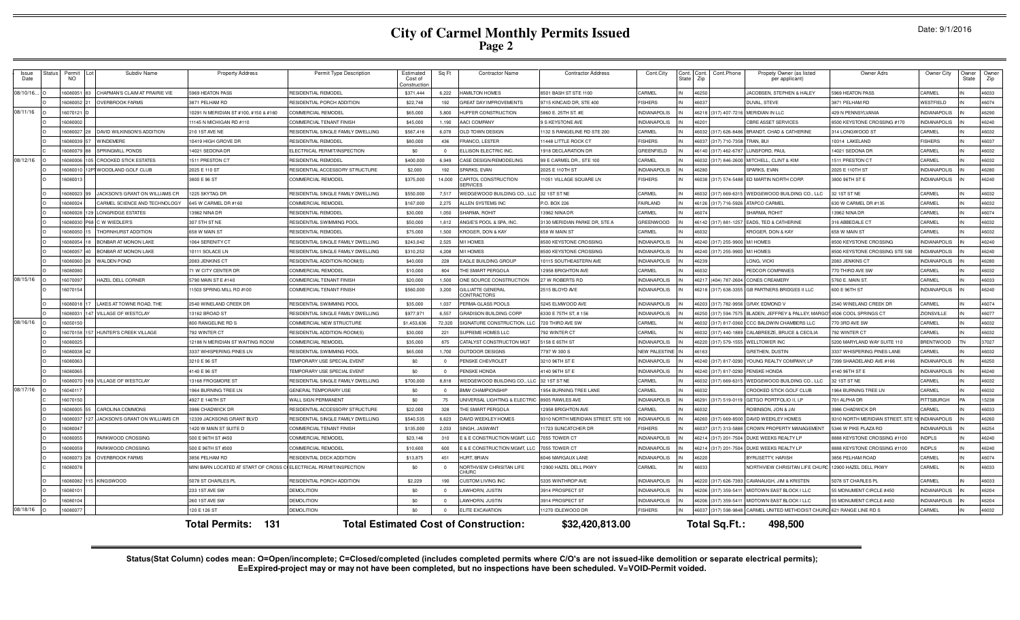|  | Date: 9/1/2016 |  |
|--|----------------|--|
|--|----------------|--|

| Issue<br>Date | Status | Permi<br>NO.   | Subdiv Name                    | <b>Property Address</b>                                            | Permit Type Description            | Estimated<br>Cost of<br>onstructio | Sq Ft          | <b>Contractor Name</b>                       | <b>Contractor Address</b>           | Cont.City            | Cont. Cont.<br>-itati | Cont.Phone<br>Zip       | Propety Owner (as listed<br>per applicant)        | Owner Adrs                      | Owner City          | Owner<br>State | Owner<br>Zip |
|---------------|--------|----------------|--------------------------------|--------------------------------------------------------------------|------------------------------------|------------------------------------|----------------|----------------------------------------------|-------------------------------------|----------------------|-----------------------|-------------------------|---------------------------------------------------|---------------------------------|---------------------|----------------|--------------|
| 08/10/16.     |        | 16080051<br>83 | CHAPMAN'S CLAIM AT PRAIRIE VIE | 5969 HEATON PASS                                                   | <b>RESIDENTIAL REMODEL</b>         | \$371,444                          | 6,222          | HAMILTON HOMES                               | 8501 BASH ST STE 1100               | CARMEL               |                       | 46250                   | <b>JACOBSEN, STEPHEN &amp; HALEY</b>              | 5969 HEATON PASS                | CARMEL              |                | 46033        |
|               |        | 16080052       | <b>OVERBROOK FARMS</b>         | 3871 PELHAM RD                                                     | RESIDENTIAL PORCH ADDITION         | \$22,748                           | 192            | GREAT DAY IMPROVEMENTS                       | 9715 KINCAID DR, STE 400            | <b>FISHERS</b>       |                       | 46037                   | DUVAL, STEVE                                      | 3871 PELHAM RD                  | WESTFIELD           |                | 46074        |
| 08/11/16      |        | 16070121       |                                | 0291 N MERIDIAN ST #100, #150 & #160                               | <b>COMMERCIAL REMODEL</b>          | \$65,000                           | 5,800          | HUFFER CONSTRUCTION                          | 5860 E. 25TH ST. #E                 | <b>INDIANAPOLIS</b>  |                       | 46218 (317) 407-7216    | <b>MERIDIAN IN LLC</b>                            | 429 N PENNSYLVANIA              | <b>INDIANAPOLIS</b> |                | 46290        |
|               |        | 1608000        |                                | 1145 N MICHIGAN RD #110                                            | <b>COMMERCIAL TENANT FINISH</b>    | \$45,000                           | 1.190          | <b>AACI COMPANY</b>                          | 9 S KEYSTONE AVE                    | <b>NDIANAPOLIS</b>   |                       | 6201                    | <b>CBRE ASSET SERVICES</b>                        | 8500 KEYSTONE CROSSING #170     | <b>INDIANAPOLIS</b> |                | 46240        |
|               |        | 1608002        | DAVID WILKINSON'S ADDITION     | 210 1ST AVE NE                                                     | RESIDENTIAL SINGLE FAMILY DWELLING | \$567,416                          | 6.078          | <b>OLD TOWN DESIGN</b>                       | 132 S RANGELINE RD STE 200          | CARMEL               |                       | 16032 (317) 626-8486    | BRANDT, CHAD & CATHERINE                          | 314 LONGWOOD ST                 | CARMEL              |                | 46032        |
|               |        | 16080039       | WINDEMERE                      | 0419 HIGH GROVE DR                                                 | <b>RESIDENTIAL REMODEL</b>         | \$80,000                           | 436            | <b>RANCO, LESTER</b>                         | 1448 LITTLE ROCK CT                 | <b>FISHERS</b>       |                       | 46037 (317) 710-7358    | TRAN, BU                                          | 10314 LAKELAND                  | <b>FISHERS</b>      |                | 46037        |
|               |        | 608007         | SPRINGMILL PONDS               | 4021 SEDONA DF                                                     | ELECTRICAL PERMIT/INSPECTION       | \$0                                | $\Omega$       | <b>LLISON ELECTRIC INC.</b>                  | 1918 DECLARATION DR                 | GREENFIELD           |                       | 6140<br>(317) 462-6787  | UNSFORD, PAUL                                     | 14021 SEDONA DR                 | CARMEL              |                | 46032        |
| 08/12/16      |        | 1608000        | 05 CROOKED STICK ESTATES       | 1511 PRESTON CT                                                    | <b>RESIDENTIAL REMODEL</b>         | \$400,000                          | 6,949          | ASE DESIGN/REMODELING                        | 99 E CARMEL DR., STE 100            | CARMEL               |                       | 16032<br>(317) 846-2600 | MITCHELL, CLINT & KIM                             | 1511 PRESTON CT                 | CARMEL              |                | 46032        |
|               |        | 1608001        | 2PT WOODLAND GOLF CLUB         | 2025 E 110 ST                                                      | RESIDENTIAL ACCESSORY STRUCTURE    | \$2,000                            | 192            | SPARKS, EVAN                                 | 2025 E 110TH ST                     | <b>INDIANAPOLIS</b>  |                       | 16280                   | SPARKS, EVAN                                      | 2025 E 110TH ST                 | <b>INDIANAPOLIS</b> |                | 46280        |
|               |        | 608001         |                                | 3800 E 96 ST                                                       | <b>COMMERCIAL REMODEL</b>          | \$375,000                          | 14,000         | CAPITOL CONSTRUCTION<br><b>ERVICES</b>       | 11051 VILLAGE SQUARE LN             | <b>FISHERS</b>       |                       | 46038 (317) 574-5488    | ED MARTIN NORTH CORP.                             | 8800 96TH ST E                  | NDIANAPOLIS         |                | 46240        |
|               |        | 16080023       | JACKSON'S GRANT ON WILLIAMS CR | 225 SKYTAG DR                                                      | RESIDENTIAL SINGLE FAMILY DWELLING | \$550,000                          | 7,517          | <b>NEDGEWOOD BUILDING CO., LL</b>            | 32 1ST ST NE                        | CARMEL               |                       | 46032 (317) 669-6315    | WEDGEWOOD BUILDING CO., LLC                       | 32 1ST ST NE                    | CARMEL              |                | 46032        |
|               |        | 1608002        | CARMEL SCIENCE AND TECHNOLOGY  | 645 W CARMEL DR #160                                               | <b>COMMERCIAL REMODEL</b>          | \$167,000                          | 2,275          | ALLEN SYSTEMS INC                            | P.O. BOX 226                        | FAIRLAND             |                       | 46126 (317) 716-5926    | ATAPCO CARMEL                                     | 630 W CARMEL DR #135            | CARMEL              |                | 46032        |
|               |        | 16080028       | 29 LONGRIDGE ESTATES           | 3962 NINA DR                                                       | <b>RESIDENTIAL REMODEL</b>         | \$30,000                           | 1.050          | SHARMA, ROHIT                                | 3962 NINA DR                        | CARMEL               |                       | 16074                   | SHARMA, ROHIT                                     | 13962 NINA DR                   | CARMEL              |                | 46074        |
|               |        | 16080030       | 68 C W WIEDLER'S               | 307 5TH ST NE                                                      | RESIDENTIAL SWIMMING POOL          | \$50,000                           | 1,612          | ANGIE'S POOL & SPA. INC.                     | 3130 MERIDIAN PARKE DR. STE A       | GREENWOOD            |                       |                         | 46142 (317) 881-1257 EADS, TED & CATHERINE        | 316 ABBEDALE CT                 | CARMEL              |                | 46032        |
|               |        | 16080050       | <b>HORNHURST ADDITION</b>      | 658 W MAIN ST                                                      | RESIDENTIAL REMODEL                | \$75,000                           | 1,500          | <b>KROGER, DON &amp; KAY</b>                 | 658 W MAIN ST                       | CARMEL               |                       | 6032                    | KROGER, DON & KAY                                 | 558 W MAIN ST                   | CARMEL              |                | 46032        |
|               |        | 1608005        | <b>BONBAR AT MONON LAKE</b>    | 1064 SERENITY C                                                    | RESIDENTIAL SINGLE FAMILY DWELLING | \$243,042                          | 2,525          | M/I HOMES                                    | 8500 KEYSTONE CROSSING              | <b>INDIANAPOLIS</b>  |                       | 46240 (317) 255-9900    | <b>M/I HOMES</b>                                  | 8500 KEYSTONE CROSSING          | <b>NDIANAPOLIS</b>  |                | 46240        |
|               |        | 1608005        | BONBAR AT MONON LAKE           | 0111 SOLACE LN                                                     | RESIDENTIAL SINGLE FAMILY DWELLING | \$310,252                          | 4,208          | M/I HOMES                                    | 8500 KEYSTONE CROSSING              | <b>INDIANAPOLIS</b>  |                       | 46240 (317) 255-9900    | <b>M/I HOMES</b>                                  | 8500 KEYSTONE CROSSING STE 590  | NDIANAPOLIS         |                | 46240        |
|               |        | 608006         | <b>WALDEN POND</b>             | 2083 JENKINS CT                                                    | RESIDENTIAL ADDITION-ROOM(S        | \$40,000                           | 228            | AGLE BUILDING GROUF                          | 10115 SOUTHEASTERN AVE              | <b>INDIANAPOLIS</b>  |                       | 16239                   | ONG, VICKI                                        | 2083 JENKINS CT                 | NDIANAPOLIS         |                | 46280        |
|               |        | 608008         |                                | 1 W CITY CENTER DF                                                 | COMMERCIAL REMODEL                 | \$10,000                           | 804            | HE SMART PERGOLA                             | 2958 BRIGHTON AVE                   | CARMEL               |                       | 6032                    | <b>EDCOR COMPANIES</b>                            | 70 THIRD AVE SW                 | ARMEL               |                | 46032        |
| 08/15/16      |        | 607009         | <b>HAZEL DELL CORNER</b>       | 790 MAIN ST E #140                                                 | COMMERCIAL TENANT FINISH           | \$20,000                           | 1,500          | ONE SOURCE CONSTRUCTION                      | 27 W ROBERTS RD                     | <b>NDIANAPOLIS</b>   |                       | 6217 (404) 787-2604     | CONES CREAMERY                                    | 5760 E. MAIN ST                 | <b>CARMEL</b>       |                | 46033        |
|               |        | 16070154       |                                | 1503 SPRING MILL RD #100                                           | COMMERCIAL TENANT FINISH           | \$560,000                          | 3,200          | <b>SILLIATTE GENERAL</b><br>ONTRACTORS       | 2515 BLOYD AVE                      | <b>NDIANAPOLIS</b>   |                       | 46218 (317) 638-3355    | GB PARTNERS BRIDGES II LLC                        | 600 E 96TH ST                   | <b>NDIANAPOLIS</b>  |                | 46240        |
|               |        | 16080018       | LAKES AT TOWNE ROAD. THE       | 2540 WINELAND CREEK DF                                             | RESIDENTIAL SWIMMING POOL          | \$35,000                           | 1.037          | PERMA-GLASS POOLS                            | 5245 ELMWOOD AVE                    | <b>NDIANAPOLIS</b>   |                       | 46203 (317) 782-9956    | <b>GRAY, EDMOND \</b>                             | 2540 WINELAND CREEK DR          | CARMEL              |                | 46074        |
|               |        | 16080031<br>47 | VILLAGE OF WESTCLAY            | 3162 BROAD ST                                                      | RESIDENTIAL SINGLE FAMILY DWELLING | \$977,971                          | 6.557          | <b>GRADISON BUILDING CORF</b>                | 6330 E 75TH ST, #156                | <b>NDIANAPOLIS</b>   |                       | 46250 (317) 594-7575    | BLADEN, JEFFREY & PALLEY, MARG                    | 4506 COOL SPRINGS CT            | <b>ZIONSVILLE</b>   |                | 46077        |
| 08/16/16      |        | 1605015        |                                | 800 RANGELINE RD 9                                                 | <b>COMMERCIAL NEW STRUCTURE</b>    | \$1,453,636                        | 72,320         | SIGNATURE CONSTRUCTION, LL                   | 720 THIRD AVE SW                    | CARMEL               |                       | 46032 (317) 817-0360    | CCC BALDWIN CHAMBERS LLC                          | 770 3RD AVE SW                  | CARMEL              |                | 46032        |
|               |        | 16070158       | 57 HUNTER'S CREEK VILLAGE      | 792 WINTER CT                                                      | RESIDENTIAL ADDITION-ROOM(S        | \$30,000                           | 221            | SUPREME HOMES LLC                            | 792 WINTER CT                       | CARMEL               |                       | 16032<br>(317) 440-1889 | CALABREEZE, BRUCE & CECILIA                       | 92 WINTER CT                    | CARMEL              |                | 46032        |
|               |        | 1608002        |                                | 2188 N MERIDIAN ST WAITING ROOM                                    | COMMERCIAL REMODEL                 | \$35,000                           | 875            | CATALYST CONSTRUCTON MGT                     | 5158 E 65TH ST                      | <b>INDIANAPOLIS</b>  |                       | 46220 (317) 579-1555    | WELLTOWER INC                                     | 5200 MARYLAND WAY SUITE 110     | <b>BRENTWOOD</b>    |                | 37027        |
|               |        | 6080038        |                                | 337 WHISPERING PINES LN                                            | <b>RESIDENTIAL SWIMMING POOL</b>   | \$65,000                           | 1,700          | <b>OUTDOOR DESIGNS</b>                       | 797 W 300 S                         | <b>VEW PALESTINE</b> |                       | 6163                    | <b>RETHEN, DUSTIN</b>                             | 337 WHISPERING PINES LANE       | <b>ARMEL</b>        |                | 46032        |
|               |        | 6080063        |                                | 3210 E 96 ST                                                       | <b>EMPORARY USE SPECIAL EVENT</b>  | \$0                                | $\Omega$       | <b>ENSKE CHEVROLET</b>                       | 3210 96TH ST E                      | <b>NDIANAPOLIS</b>   |                       | 6240 (317) 817-0290     | YOUNG REALTY COMPANY, LP                          | 7399 SHAADELAND AVE #166        | NDIANAPOLIS         |                | 46250        |
|               |        | 6080065        |                                | 140 E 96 ST                                                        | <b>EMPORARY USE SPECIAL EVENT</b>  | \$0                                | $\Omega$       | PENSKE HONDA                                 | 1140 96TH ST E                      | <b>NDIANAPOLIS</b>   |                       | 6240 (317) 817-0290     | PENSKE HONDA                                      | 140 96TH ST E                   | NDIANAPOLIS         |                | 46240        |
|               |        | 608007         | 69 VILLAGE OF WESTCLAY         | 3168 FROGMORE ST                                                   | RESIDENTIAL SINGLE FAMILY DWELLING | \$700,000                          | 8,818          | WEDGEWOOD BUILDING CO., LL                   | 32 1ST ST NE                        | CARMEL               |                       | 46032 (317) 669-6315    | WEDGEWOOD BUILDING CO., LLC                       | 32 1ST ST NE                    | CARMEL              |                | 46032        |
| 08/17/16      |        | 16040117       |                                | 964 BURNING TREE LN                                                | GENERAL TEMPORARY USE              | \$0                                | $\Omega$       | <b>BMW CHAMPIONSHIP</b>                      | 1954 BURNING TREE LANE              | CARMEL               |                       | 16032                   | CROOKED STICK GOLF CLUB                           | 1964 BURNING TREE LN            | CARMEL              |                | 46032        |
|               |        | 16070150       |                                | 4927 E 146TH ST                                                    | WALL SIGN PERMANENT                | \$0                                | 75             | JNIVERSAL LIGHTING & ELECTRIC                | 8905 RAWLES AVE                     | <b>INDIANAPOLIS</b>  |                       | 46291 (317) 519-0119    | GETGO PORTFOLIO II, LP                            | 701 ALPHA DR                    | PITTSBURGH          |                | 15238        |
|               |        | 16080005       | <b>CAROLINA COMMONS</b>        | 3986 CHADWICK DR                                                   | RESIDENTIAL ACCESSORY STRUCTURE    | \$22,000                           | 328            | THE SMART PERGOLA                            | 12958 BRIGHTON AVE                  | CARMEL               |                       | 16032                   | ROBINSON, JON & JAI                               | 3986 CHADWICK DR                | CARMEL              |                | 46033        |
|               |        | 1608003        | JACKSON'S GRANT ON WILLIAMS CR | 2339 JACKSONS GRANT BLVD                                           | RESIDENTIAL SINGLE FAMILY DWELLING | \$540,535                          | 6.623          | DAVID WEEKLEY HOMES                          | 9310 NORTH MERIDIAN STREET, STE 100 | NDIANAPOLIS          |                       | 46260 (317) 669-8500    | DAVID WEEKLEY HOMES                               | 3310 NORTH MERIDIAN STREET, STE | <b>INDIANAPOLIS</b> |                | 46260        |
|               |        | 1608004        |                                | 420 W MAIN ST SUITE D                                              | <b>COMMERCIAL TENANT FINISH</b>    | \$135,000                          | 2,033          | SINGH, JASWANT                               | 11723 SUNCATCHER DR                 | <b>FISHERS</b>       |                       | 46037 (317) 313-5888    | CROWN PROPERTY MANAGEMENT                         | 5346 W PIKE PLAZA RD            | NDIANAPOLIS         |                | 46254        |
|               |        | 1608005        | PARKWOOD CROSSING              | 500 E 96TH ST #450                                                 | <b>COMMERCIAL REMODEI</b>          | \$23,146                           | 310            | & E CONSTRUCTION MGMT, LL                    | 7055 TOWER CT                       | <b>NDIANAPOLIS</b>   |                       | 46214 (317) 201-7504    | DUKE WEEKS REALTY LF                              | 3888 KEYSTONE CROSSING #1100    | <b>NDPLS</b>        |                | 46240        |
|               |        | 160800         | PARKWOOD CROSSING              | 500 E 96TH ST #300                                                 | <b>COMMERCIAL REMODEI</b>          | \$10,600                           | 600            | & E CONSTRUCTION MGMT, LL                    | 7055 TOWER CT                       | <b>NDIANAPOLIS</b>   |                       | 46214 (317) 201-7504    | DUKE WEEKS REALTY LP                              | 3888 KEYSTONE CROSSING #1100    | <b>NDPLS</b>        |                | 46240        |
|               |        | 16080073       | <b>OVERBROOK FARMS</b>         | 3856 PELHAM RD                                                     | RESIDENTIAL DECK ADDITION          | \$13,875                           | 451            | <b>JURT, BRIAN</b>                           | 6046 MARGAUX LANE                   | NDIANAPOLIS          |                       | 16220                   | BYRUSETTY, HARISH                                 | 3856 PELHAM ROAD                | CARMEL              |                | 46074        |
|               |        | 1608007        |                                | MINI BARN LOCATED AT START OF CROSS CIELECTRICAL PERMIT/INSPECTION |                                    | \$0                                | $\overline{0}$ | NORTHVIEW CHRISITAN LIFE<br><b>HURC</b>      | 12900 HAZEL DELL PKWY               | CARMEL               |                       | 46033                   | NORTHVIEW CHRISITAN LIFE CHUR                     | 12900 HAZEL DELL PKWY           | CARMEL              |                | 46033        |
|               |        | 16080082       | 15 KINGSWOOD                   | 5078 ST CHARLES PL                                                 | RESIDENTIAL PORCH ADDITION         | \$2,229                            | 190            | CUSTOM LIVING INC                            | 5335 WINTHROP AVE                   | <b>INDIANAPOLIS</b>  |                       | 46220 (317) 626-7393    | CAVANAUGH, JIM & KRISTEN                          | 5078 ST CHARLES PL              | CARMEL              |                | 46033        |
|               |        | 1608010        |                                | 233 1ST AVE SW                                                     | <b>DEMOLITION</b>                  | \$0                                | $\Omega$       | AWHORN, JUSTIN                               | 3914 PROSPECT ST                    | <b>NDIANAPOLIS</b>   |                       | 46206 (317) 359-5411    | MIDTOWN EAST BLOCK I LLC                          | 55 MONUMENT CIRCLE #450         | <b>INDIANAPOLIS</b> |                | 46204        |
|               |        | 1608010        |                                | 260 1ST AVE SW                                                     | <b>DEMOLITION</b>                  | \$0                                |                | AWHORN, JUSTIN                               | 3914 PROSPECT ST                    | <b>INDIANAPOLIS</b>  |                       | 46206 (317) 359-5411    | MIDTOWN EAST BLOCK I LLC                          | 55 MONUMENT CIRCLE #450         | <b>NDIANAPOLIS</b>  |                | 46204        |
| 08/18/16      |        | 1608007        |                                | 120 E 126 ST                                                       | <b>DEMOLITION</b>                  | \$0                                |                | ELITE EXCAVATION                             | 11270 IDLEWOOD DR                   | <b>FISHERS</b>       |                       |                         | 46037 (317) 598-9848 CARMEL UNITED METHODIST CHUR | <b>1621 RANGE LINE RD S</b>     | CARMEL              |                | 46032        |
|               |        |                |                                | <b>Total Permits: 131</b>                                          |                                    |                                    |                | <b>Total Estimated Cost of Construction:</b> | \$32,420,813.00                     |                      |                       | Total Sq.Ft.:           | 498,500                                           |                                 |                     |                |              |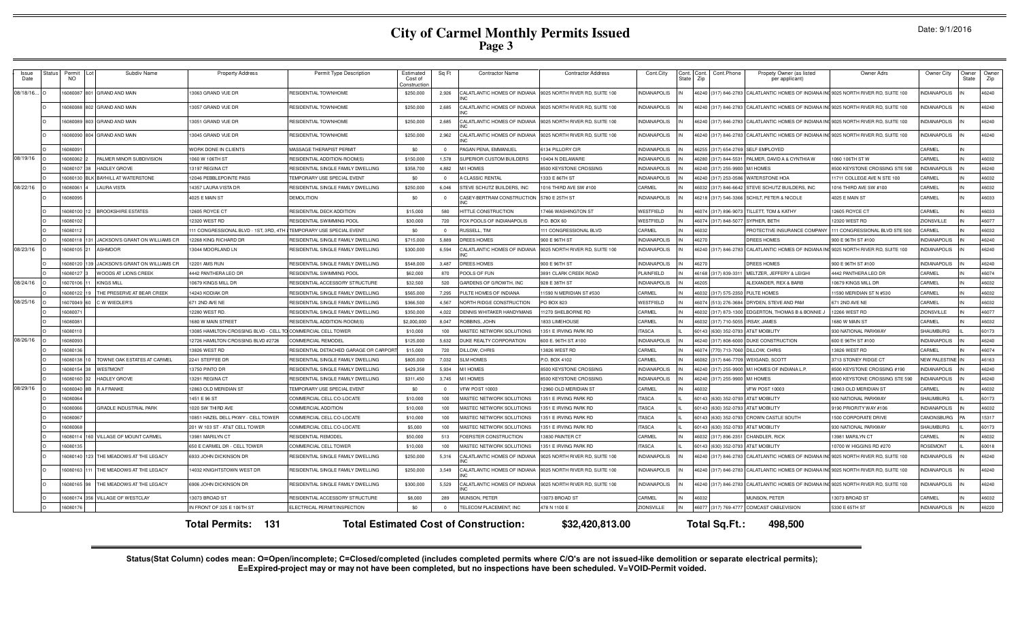| Issue<br>Date | Status | Permit<br><b>NO</b> | Subdiv Name                           | <b>Property Address</b>               | Permit Type Description                   | Estimated<br>Cost of<br>Constructio | Sq Ft          | <b>Contractor Name</b>                       | <b>Contractor Address</b>      | Cont.City           | Cont. Cont.<br>Zip<br>atar? | Cont.Phone           | Propety Owner (as listed<br>per applicant)                      | Owner Adrs                      | Owner City           | Owner<br>State | Owner<br>Zip |
|---------------|--------|---------------------|---------------------------------------|---------------------------------------|-------------------------------------------|-------------------------------------|----------------|----------------------------------------------|--------------------------------|---------------------|-----------------------------|----------------------|-----------------------------------------------------------------|---------------------------------|----------------------|----------------|--------------|
| 08/18/16      |        | 6080087             | 801 GRAND AND MAIN                    | 3063 GRAND VUE DR                     | RESIDENTIAL TOWNHOME                      | \$250,000                           | 2,926          | CALATLANTIC HOMES OF INDIANA                 | 9025 NORTH RIVER RD, SUITE 100 | NDIANAPOLIS         |                             | 46240 (317) 846-2783 | CALATLANTIC HOMES OF INDIANA INC 9025 NORTH RIVER RD, SUITE 100 |                                 | NDIANAPOLIS          |                | 46240        |
|               |        |                     | 6080088 802 GRAND AND MAIN            | 3057 GRAND VUE DR                     | RESIDENTIAL TOWNHOME                      | \$250,000                           | 2,685          | CALATLANTIC HOMES OF INDIANA                 | 9025 NORTH RIVER RD. SUITE 100 | NDIANAPOLIS         |                             | 46240 (317) 846-2783 | CALATLANTIC HOMES OF INDIANA INC 9025 NORTH RIVER RD, SUITE 100 |                                 | <b>VDIANAPOLIS</b>   |                | 46240        |
|               |        |                     | 6080089 803 GRAND AND MAIN            | 13051 GRAND VUE DR                    | <b>RESIDENTIAL TOWNHOME</b>               | \$250,000                           | 2,685          | CALATLANTIC HOMES OF INDIANA                 | 9025 NORTH RIVER RD. SUITE 100 | <b>NDIANAPOLIS</b>  |                             | 6240 (317) 846-2783  | CALATLANTIC HOMES OF INDIANA INC 9025 NORTH RIVER RD. SUITE 100 |                                 | <b>VDIANAPOLIS</b>   |                | 46240        |
|               |        |                     | 6080090 804 GRAND AND MAIN            | 3045 GRAND VUE DR                     | RESIDENTIAL TOWNHOME                      | \$250,000                           | 2,962          | CALATLANTIC HOMES OF INDIANA                 | 9025 NORTH RIVER RD, SUITE 100 | NDIANAPOLIS         |                             | 6240 (317) 846-2783  | CALATLANTIC HOMES OF INDIANA INC 9025 NORTH RIVER RD, SUITE 100 |                                 | NDIANAPOLIS          |                | 46240        |
|               |        | 608009              |                                       | WORK DONE IN CLIENTS                  | MASSAGE THERAPIST PERMIT                  | SO.                                 | $\Omega$       | PAGAN PENA, EMMANUEL                         | 6134 PILLORY CIR               | <b>NDIANAPOLIS</b>  |                             | 6255 (317) 654-2769  | <b>SELF EMPLOYED</b>                                            |                                 | CARMEL               |                |              |
| 08/19/16      |        | 6080062             | PALMER MINOR SUBDIVISION              | 1060 W 106TH ST                       | RESIDENTIAL ADDITION-ROOM(S               | \$150,000                           | 1,578          | SUPERIOR CUSTOM BUILDERS                     | 10404 N DELAWARE               | <b>INDIANAPOLIS</b> |                             | 6280 (317) 844-5531  | PALMER, DAVID A & CYNTHIA W                                     | 1060 106TH STW                  | CARMEL               |                | 46032        |
|               |        | 6080107             | HADLEY GROVE                          | 3197 REGINA CT                        | RESIDENTIAL SINGLE FAMILY DWELLING        | \$358,700                           | 4.882          | M/I HOMES                                    | 8500 KEYSTONE CROSSING         | <b>INDIANAPOLIS</b> |                             | 6240 (317) 255-990   | <b>VI HOMES</b>                                                 | 8500 KEYSTONE CROSSING STE 590  | NDIANAPOLIS          |                | 46240        |
|               |        | 6080130             | <b>BAYHILL AT WATERSTONE</b>          | 12046 PEBBLEPOINTE PASS               | TEMPORARY USE SPECIAL EVENT               | \$0                                 | $\overline{0}$ | A CLASSIC RENTAL                             | 1333 E 86TH ST                 | <b>INDIANAPOLIS</b> |                             | 6240 (317) 253-058   | <b>VATERSTONE HOA</b>                                           | 11711 COLLEGE AVE N STE 100     | CARMEI               |                | 16032        |
| 08/22/16      |        | 608006              | <b>LAURA VISTA</b>                    | 4357 LAURA VISTA DF                   | RESIDENTIAL SINGLE FAMILY DWELLING        | \$250,000                           | 6.046          | STEVE SCHUTZ BUILDERS, INC                   | 1016 THIRD AVE SW #100         | CARMEL              |                             | 6032 (317) 846-6642  | <b>STEVE SCHUTZ BUILDERS, INC</b>                               | 1016 THIRD AVE SW #100          | CARMEL               |                | 46032        |
|               |        | 608009              |                                       | 1025 E MAIN ST                        | <b>DEMOLITION</b>                         | \$0                                 | $\Omega$       | CASEY-BERTRAM CONSTRUCTION                   | 5780 E 25TH ST                 | NDIANAPOLIS         |                             | 6218 (317) 546-336   | SCHILT, PETER & NICOLE                                          | 4025 E MAIN ST                  | CARMEL               |                | 46033        |
|               |        | 6080100 12          | <b>BROOKSHIRE ESTATES</b>             | 2605 ROYCE CT                         | RESIDENTIAL DECK ADDITION                 | \$15,000                            | 580            | HITTLE CONSTRUCTION                          | 17466 WASHINGTON ST            | WESTFIELD           |                             | 46074 (317) 896-9073 | TILLETT. TOM & KATHY                                            | 12605 ROYCE CT                  | CARMEL               |                | 46033        |
|               |        | 608010              |                                       | 12320 WEST RD                         | RESIDENTIAL SWIMMING POOL                 | \$30,000                            | 720            | FOX POOLS OF INDIANAPOLIS                    | P.O. BOX 60                    | WESTFIELD           |                             | 6074 (317) 848-507   | SYPHER, BETH                                                    | 12320 WEST RD                   | <b>ZIONSVILLE</b>    |                | 46077        |
|               |        | 6080112             |                                       | 11 CONGRESSIONAL BLVD - 1ST, 3RD, 4TH | TEMPORARY USE SPECIAL EVENT               | \$0                                 | $\Omega$       | RUSSELL, TIM                                 | 111 CONGRESSIONAL BLVD         | CARMEL              | 46032                       |                      | <b>PROTECTIVE INSURANCE COMPAN</b>                              | 111 CONGRESSIONAL BLVD STE 500  | CARMEL               |                | 46032        |
|               |        | 6080118             | 131 JACKSON'S GRANT ON WILLIAMS CR    | 2268 KING RICHARD DI                  | RESIDENTIAL SINGLE FAMILY DWELLING        | \$715,000                           | 5,889          | DREES HOMES                                  | 900 E 96TH ST                  | <b>NDIANAPOLIS</b>  | 6270                        |                      | DREES HOMES                                                     | 900 E 96TH ST #100              | NDIANAPOLIS          |                | 46240        |
| 08/23/16      |        | 6080105 21          | <b>ASHMOOR</b>                        | 3044 MOORLAND LN                      | RESIDENTIAL SINGLE FAMILY DWELLING        | \$300,000                           | 6,594          | CALATLANTIC HOMES OF INDIANA                 | 9025 NORTH RIVER RD, SUITE 100 | NDIANAPOLIS         |                             | 46240 (317) 846-2783 | CALATLANTIC HOMES OF INDIANA INC 9025 NORTH RIVER RD, SUITE 100 |                                 | NDIANAPOLIS          |                | 46240        |
|               |        | 6080120             | 139 JACKSON'S GRANT ON WILLIAMS CR    | <b>2201 AMS RUN</b>                   | RESIDENTIAL SINGLE FAMILY DWELLING        | \$548,000                           | 3,487          | DREES HOMES                                  | 900 E 96TH ST                  | <b>NDIANAPOLIS</b>  | 6270                        |                      | <b>REES HOMES</b>                                               | 900 E 96TH ST #100              | <b>NDIANAPOLIS</b>   |                | 46240        |
|               |        | 6080127             | WOODS AT LIONS CREEK                  | <b>442 PANTHERA LEO DR</b>            | RESIDENTIAL SWIMMING POOL                 | \$62,000                            | 870            | POOLS OF FUN                                 | 3891 CLARK CREEK ROAD          | <b>LAINFIELD</b>    |                             | 6168 (317) 839-3311  | MELTZER, JEFFERY & LEIGHI                                       | 4442 PANTHERA LEO DF            | CARMEL               |                | 46074        |
| 08/24/16      |        | 6070106 11          | <b>KINGS MILL</b>                     | 10679 KINGS MILL DE                   | RESIDENTIAL ACCESSORY STRUCTURE           | \$32,500                            | 520            | GARDENS OF GROWTH, INC                       | 928 E 38TH ST                  | <b>INDIANAPOLIS</b> | 6205                        |                      | ALEXANDER, REX & BARB                                           | 10679 KINGS MILL DR             | CARMEL               |                | 46032        |
|               |        | 6080122 19          | THE PRESERVE AT BEAR CREEK            | 14243 KODIAK DR                       | RESIDENTIAL SINGLE FAMILY DWELLING        | \$565,000                           | 7,295          | PULTE HOMES OF INDIANA                       | 11590 N MERIDIAN ST #530       | CARMEL              |                             | 46032 (317) 575-235  | <b>PULTE HOMES</b>                                              | 11590 MERIDIAN ST N #530        | CARMEL               |                | 46032        |
| 08/25/16      |        | 16070049 60         | C W WIEDLER'S                         | 71 2ND AVE NE                         | RESIDENTIAL SINGLE FAMILY DWELLING        | \$366,500                           | 4,567          | NORTH RIDGE CONSTRUCTION                     | PO BOX 823                     | WESTFIELD           |                             | 6074 (513) 276-3684  | DRYDEN, STEVE AND PAM                                           | 671 2ND AVE NE                  | CARMEL               |                | 46032        |
|               |        | 6080071             |                                       | 2280 WEST RD.                         | RESIDENTIAL SINGLE FAMILY DWELLING        | \$350,000                           | 4.022          | DENNIS WHITAKER HANDYMANS                    | 11270 SHELBORNE RD             | CARMEL              |                             | 6032 (317) 873-1300  | EDGERTON, THOMAS B & BONNIE                                     | 12266 WEST RD                   | ZIONSVILLE           |                | 46077        |
|               |        | 608008              |                                       | 1680 W MAIN STREET                    | RESIDENTIAL ADDITION-ROOM(S               | \$2,000,000                         | 8,047          | ROBBINS, JOHN                                | 1833 LIMEHOUSE                 | CARMEL              |                             | 6032 (317) 710-505   | <b>IRSAY, JAMES</b>                                             | 1680 W MAIN ST                  | CARMEL               |                | 46032        |
|               |        | 608011              |                                       | 13085 HAMILTON CROSSING BLVD - CELL   | <b>COMMERCIAL CELL TOWER</b>              | \$10,000                            | 100            | MASTEC NETWORK SOLUTIONS                     | 1351 E IRVING PARK RD          | <b>TASCA</b>        |                             | 0143 (630) 352-0793  | AT&T MOBILITY                                                   | 930 NATIONAL PARKWAY            | SHAUMBURG            |                | 60173        |
| 08/26/16      |        | 6080093             |                                       | 12726 HAMILTON CROSSING BLVD #2726    | <b>COMMERCIAL REMODEL</b>                 | \$125,000                           | 5.632          | DUKE REALTY CORPORATION                      | 600 E. 96TH ST. #100           | <b>INDIANAPOLIS</b> |                             | 6240 (317) 808-6000  | <b>DUKE CONSTRUCTION</b>                                        | 600 E 96TH ST #100              | <b>NDIANAPOLIS</b>   |                | 46240        |
|               |        | 6080136             |                                       | 3826 WEST RD                          | RESIDENTIAL DETACHED GARAGE OR CARPOR     | \$15,000                            | 720            | DILLOW, CHRIS                                | 13826 WEST RD                  | <b>CARMEL</b>       | 6074                        | (770) 713-706        | <b>DILLOW, CHRIS</b>                                            | 13826 WEST RD                   | <b>ARMEI</b>         |                | 46074        |
|               |        | 6080138             | TOWNE OAK ESTATES AT CARMEL           | 2241 STEFFEE DF                       | RESIDENTIAL SINGLE FAMILY DWELLING        | \$805,000                           | 7,032          | <b>SLM HOMES</b>                             | P.O. BOX 4102                  | CARMEL              |                             | 6082 (317) 846-770   | <b>VEIGAND, SCOTT</b>                                           | 3713 STONEY RIDGE CT            | <b>NEW PALESTINE</b> |                | 46163        |
|               |        | 6080154             | WESTMONT                              | 13750 PINTO DR                        | RESIDENTIAL SINGLE FAMILY DWELLING        | \$429,358                           | 5,934          | M/I HOMES                                    | 8500 KEYSTONE CROSSING         | NDIANAPOLIS         |                             | 6240 (317) 255-990   | M/I HOMES OF INDIANA L.F                                        | 8500 KEYSTONE CROSSING #190     | NDIANAPOLIS          |                | 46240        |
|               |        | 608016              | <b>HADLEY GROVE</b>                   | 13291 REGINA CT                       | RESIDENTIAL SINGLE FAMILY DWELLING        | \$311,450                           | 3,745          | M/I HOMES                                    | 8500 KEYSTONE CROSSING         | <b>INDIANAPOLIS</b> |                             | 6240 (317) 255-9900  | WI HOMES                                                        | 8500 KEYSTONE CROSSING STE 590  | NDIANAPOLIS          |                | 46240        |
| 08/29/16      |        | 6080040             | <b>RAFRANKE</b>                       | 2863 OLD MERIDIAN ST                  | TEMPORARY USE SPECIAL EVENT               | \$0                                 | $\Omega$       | <b>VFW POST 10003</b>                        | 12960 OLD MERIDIAN S'          | CARMEL              | 6032                        |                      | FW POST 10003                                                   | 12863 OLD MERIDIAN ST           | CARMEL               |                | 46032        |
|               |        | 608006              |                                       | 1451 E 96 ST                          | COMMERCIAL CELL CO-LOCATE                 | \$10,000                            | 100            | MASTEC NETWORK SOLUTIONS                     | 1351 E IRVING PARK RD          | <b>ITASCA</b>       |                             | 0143 (630) 352-0793  | AT&T MOBILITY                                                   | 930 NATIONAL PARKWAY            | <b>SHAUMBURG</b>     |                | 60173        |
|               |        | 608006              | <b>GRADLE INDUSTRIAL PARK</b>         | 020 SW THIRD AVE                      | <b>COMMERCIAL ADDITION</b>                | \$10,000                            | 100            | MASTEC NETWORK SOLUTIONS                     | 351 E IRVING PARK RD           | <b>TASCA</b>        |                             | 0143 (630) 352-0793  | AT&T MOBILITY                                                   | 9190 PRIORITY WAY #10           | NDIANAPOLIS          |                | 46032        |
|               |        | 6080067             |                                       | 0851 HAZEL DELL PKWY - CELL TOWER     | COMMERCIAL CELL CO-LOCATI                 | \$10,000                            | 100            | <b>MASTEC NETWORK SOLUTIONS</b>              | 351 E IRVING PARK RD           | <b>TASCA</b>        |                             | 0143 (630) 352-0793  | CROWN CASTLE SOUTH                                              | 1500 CORPORATE DRIVE            | CANONSBURG           |                | 15317        |
|               |        | 6080068             |                                       | 201 W 103 ST - AT&T CELL TOWER        | COMMERCIAL CELL CO-LOCATE                 | \$5,000                             | 100            | MASTEC NETWORK SOLUTIONS                     | 1351 E IRVING PARK RD          | <b>TASCA</b>        |                             | 0143 (630) 352-0793  | AT&T MOBILITY                                                   | 930 NATIONAL PARKWAY            | <b>SHAUMBURG</b>     |                | 60173        |
|               |        |                     | 6080114 160 VILLAGE OF MOUNT CARMEL   | 3981 MARILYN CT                       | RESIDENTIAL REMODEL                       | \$50,000                            | 513            | OERSTER CONSTRUCTION                         | 13830 PAINTER CT               | CARMEL              |                             | 6032 (317) 896-2351  | CHANDLER, RICK                                                  | 13981 MARILYN CT                | <b>ARMEL</b>         |                | 46032        |
|               |        | 6080135             |                                       | 650 E CARMEL DR - CELL TOWER          | COMMERCIAL CELL TOWER                     | \$10,000                            | 100            | MASTEC NETWORK SOLUTIONS                     | 1351 F IRVING PARK RD          | <b>TASCA</b>        |                             | 0143 (630) 352-0793  | AT&T MOBILITY                                                   | 10700 W HIGGINS RD #270         | ROSEMONT             |                | 60018        |
|               |        |                     | 6080140 123 THE MEADOWS AT THE LEGACY | 5933 JOHN DICKINSON DR                | RESIDENTIAL SINGLE FAMILY DWELLING        | \$250,000                           | 5,316          | CALATLANTIC HOMES OF INDIANA                 | 9025 NORTH RIVER RD, SUITE 100 | <b>INDIANAPOLIS</b> |                             | 46240 (317) 846-2783 | CALATLANTIC HOMES OF INDIANA IN                                 | 19025 NORTH RIVER RD. SUITE 100 | NDIANAPOLIS          |                | 46240        |
|               |        | 6080163             | 111 THE MEADOWS AT THE LEGACY         | 4032 KNIGHTSTOWN WEST DE              | <b>RESIDENTIAL SINGLE FAMILY DWELLING</b> | \$250,000                           | 3,549          | CALATLANTIC HOMES OF INDIANA                 | 9025 NORTH RIVER RD, SUITE 100 | NDIANAPOLIS         |                             | 6240 (317) 846-2783  | CALATLANTIC HOMES OF INDIANA INC 9025 NORTH RIVER RD. SUITE 100 |                                 | NDIANAPOLIS          |                | 46240        |
|               |        | 6080165 98          | THE MEADOWS AT THE LEGACY             | 6906 JOHN DICKINSON DR                | RESIDENTIAL SINGLE FAMILY DWELLING        | \$300,000                           | 5,529          | CALATLANTIC HOMES OF INDIANA                 | 9025 NORTH RIVER RD, SUITE 100 | INDIANAPOLIS        |                             | 46240 (317) 846-2783 | CALATLANTIC HOMES OF INDIANA INC 9025 NORTH RIVER RD, SUITE 100 |                                 | NDIANAPOLIS          |                | 46240        |
|               |        | 6080174             | 356 VILLAGE OF WESTCLAY               | 13073 BROAD ST                        | RESIDENTIAL ACCESSORY STRUCTURE           | \$8,000                             | 289            | MUNSON, PETER                                | 13073 BROAD ST                 | CARMEL              | 6032                        |                      | <b>MUNSON, PETER</b>                                            | 13073 BROAD ST                  | CARMEL               |                | 46032        |
|               |        | 608017              |                                       | IN FRONT OF 325 E 106TH ST            | ELECTRICAL PERMIT/INSPECTION              | \$0                                 | $\Omega$       | TELECOM PLACEMENT, INC                       | 478 N 1100 E                   | <b>ZIONSVILLE</b>   | 46077                       | $(317) 769 - 4777$   | COMCAST CABLEVISION                                             | 5330 E 65TH ST                  | NDIANAPOLIS          |                | 16220        |
|               |        |                     |                                       | 131<br><b>Total Permits:</b>          |                                           |                                     |                | <b>Total Estimated Cost of Construction:</b> | \$32,420,813.00                |                     |                             | Total Sq.Ft.:        | 498,500                                                         |                                 |                      |                |              |